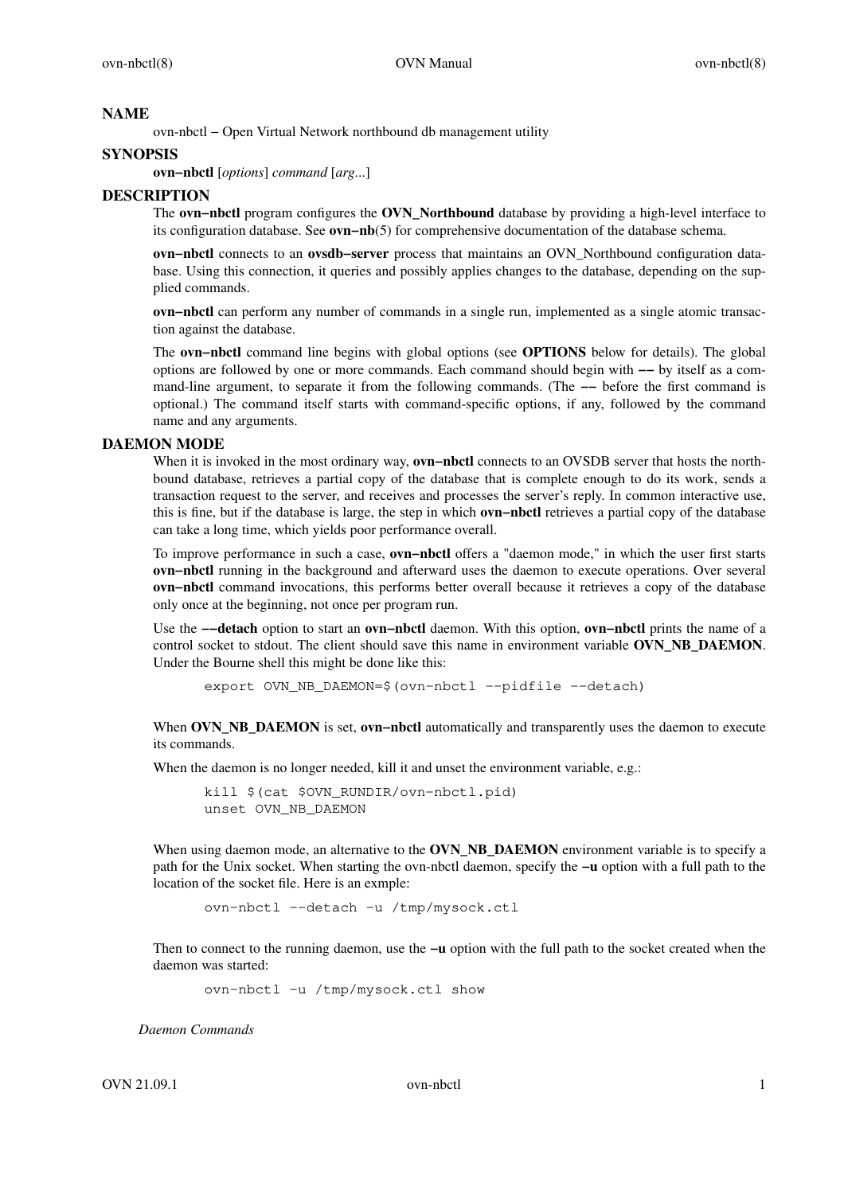## **NAME**

ovn-nbctl − Open Virtual Network northbound db management utility

## **SYNOPSIS**

**ovn−nbctl** [*options*] *command* [*arg*...]

#### **DESCRIPTION**

The **ovn−nbctl** program configures the **OVN\_Northbound** database by providing a high-level interface to its configuration database. See **ovn−nb**(5) for comprehensive documentation of the database schema.

**ovn−nbctl** connects to an **ovsdb−server** process that maintains an OVN\_Northbound configuration database. Using this connection, it queries and possibly applies changes to the database, depending on the supplied commands.

**ovn−nbctl** can perform any number of commands in a single run, implemented as a single atomic transaction against the database.

The **ovn−nbctl** command line begins with global options (see **OPTIONS** below for details). The global options are followed by one or more commands. Each command should begin with **−−** by itself as a command-line argument, to separate it from the following commands. (The **−−** before the first command is optional.) The command itself starts with command-specific options, if any, followed by the command name and any arguments.

#### **DAEMON MODE**

When it is invoked in the most ordinary way, **ovn−nbctl** connects to an OVSDB server that hosts the northbound database, retrieves a partial copy of the database that is complete enough to do its work, sends a transaction request to the server, and receives and processes the server's reply. In common interactive use, this is fine, but if the database is large, the step in which **ovn−nbctl** retrievesapartial copy of the database can take a long time, which yields poor performance overall.

To improve performance in such a case, **ovn−nbctl** offers a "daemon mode," in which the user first starts **ovn−nbctl** running in the background and afterward uses the daemon to execute operations. Over several **ovn−nbctl** command invocations, this performs better overall because it retrieves a copy of the database only once at the beginning, not once per program run.

Use the **−−detach** option to start an **ovn−nbctl** daemon. With this option, **ovn−nbctl** prints the name of a control socket to stdout. The client should save this name in environment variable **OVN\_NB\_DAEMON**. Under the Bourne shell this might be done like this:

export OVN\_NB\_DAEMON=\$(ovn−nbctl −−pidfile −−detach)

When **OVN\_NB\_DAEMON** is set, **ovn−nbctl** automatically and transparently uses the daemon to execute its commands.

When the daemon is no longer needed, kill it and unset the environment variable, e.g.:

```
kill $(cat $OVN_RUNDIR/ovn−nbctl.pid)
unset OVN_NB_DAEMON
```
When using daemon mode, an alternative to the **OVN\_NB\_DAEMON** environment variable is to specify a path for the Unix socket. When starting the ovn-nbctl daemon, specify the **−u** option with a full path to the location of the socket file. Here is an exmple:

ovn−nbctl −−detach −u /tmp/mysock.ctl

Then to connect to the running daemon, use the **−u** option with the full path to the socket created when the daemon was started:

ovn−nbctl −u /tmp/mysock.ctl show

*Daemon Commands*

 $\text{OVN } 21.09.1$  ovn-nbctl 1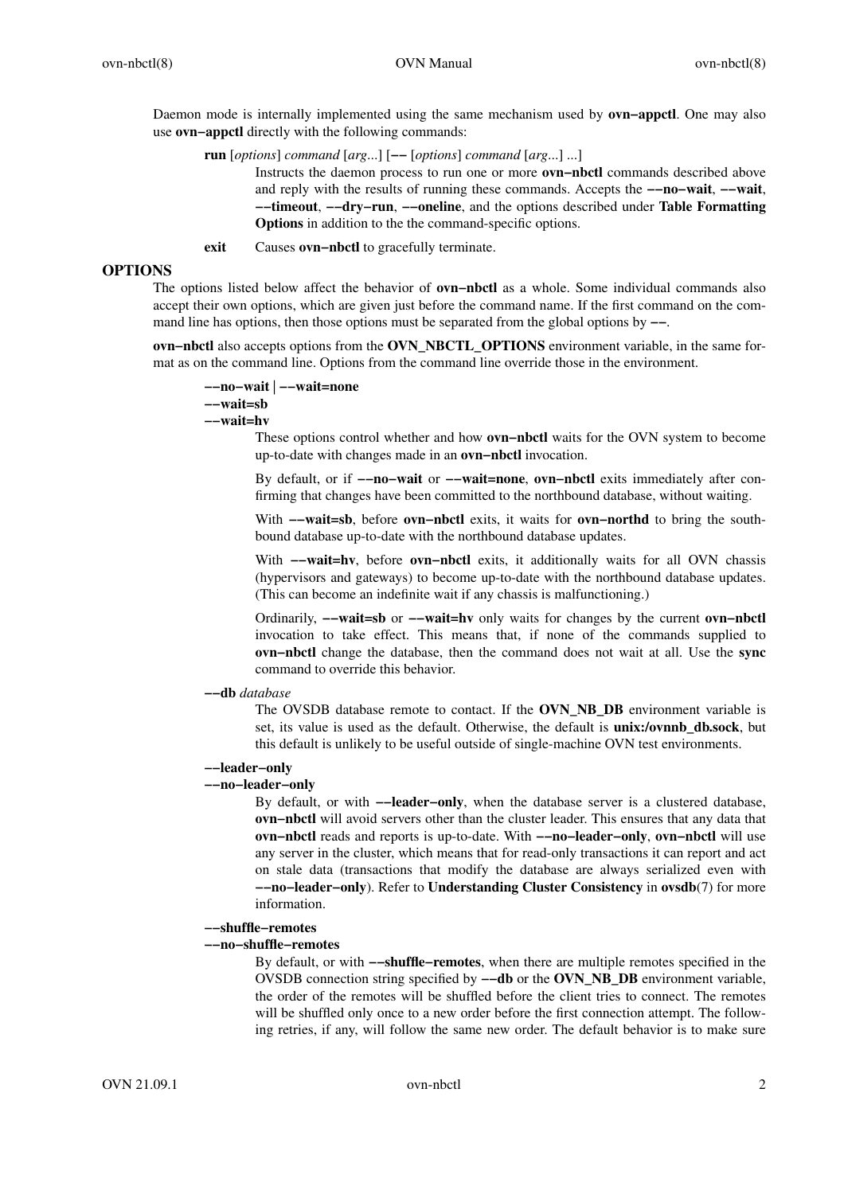Daemon mode is internally implemented using the same mechanism used by **ovn−appctl**. One may also use **ovn−appctl** directly with the following commands:

**run** [*options*] *command* [*arg*...] [**−−** [*options*] *command* [*arg*...] ...]

Instructs the daemon process to run one or more **ovn−nbctl** commands described above and reply with the results of running these commands. Accepts the **−−no−wait**, **−−wait**, **−−timeout**, **−−dry−run**, **−−oneline**, and the options described under **Table Formatting Options** in addition to the the command-specific options.

**exit** Causes **ovn−nbctl** to gracefully terminate.

#### **OPTIONS**

The options listed below affect the behavior of **ovn−nbctl** as a whole. Some individual commands also accept their own options, which are given just before the command name. If the first command on the command line has options, then those options must be separated from the global options by **−−**.

**ovn−nbctl** also accepts options from the **OVN\_NBCTL\_OPTIONS** environment variable, in the same format as on the command line. Options from the command line override those in the environment.

```
−−no−wait | −−wait=none
−−wait=sb
```
#### **−−wait=hv**

These options control whether and how **ovn−nbctl** waits for the OVN system to become up-to-date with changes made in an **ovn−nbctl** invocation.

By default, or if **−−no−wait** or **−−wait=none**, **ovn−nbctl** exits immediately after confirming that changes have been committed to the northbound database, without waiting.

With **−−wait=sb**, before **ovn−nbctl** exits, it waits for **ovn−northd** to bring the southbound database up-to-date with the northbound database updates.

With **−−wait=hv**, before **ovn−nbctl** exits, it additionally waits for all OVN chassis (hypervisors and gateways) to become up-to-date with the northbound database updates. (This can become an indefinite wait if any chassis is malfunctioning.)

Ordinarily, **−−wait=sb** or **−−wait=hv** only waits for changes by the current **ovn−nbctl** invocation to take effect. This means that, if none of the commands supplied to **ovn−nbctl** change the database, then the command does not wait at all. Use the **sync** command to override this behavior.

**−−db** *database*

The OVSDB database remote to contact. If the **OVN\_NB\_DB** environment variable is set, its value is used as the default. Otherwise, the default is **unix:/ovnnb\_db.sock**, but this default is unlikely to be useful outside of single-machine OVN test environments.

#### **−−leader−only**

# **−−no−leader−only**

By default, or with **−−leader−only**, when the database server is a clustered database, **ovn−nbctl** will avoid servers other than the cluster leader. This ensures that any data that **ovn−nbctl** reads and reports is up-to-date. With **−−no−leader−only**, **ovn−nbctl** will use any server in the cluster, which means that for read-only transactions it can report and act on stale data (transactions that modify the database are always serialized even with **−−no−leader−only**). Refer to **Understanding Cluster Consistency** in **ovsdb**(7) for more information.

**−−shuffle−remotes**

### **−−no−shuffle−remotes**

By default, or with **−−shuffle−remotes**, when there are multiple remotes specified in the OVSDB connection string specified by **−−db** or the **OVN\_NB\_DB** environment variable, the order of the remotes will be shuffled before the client tries to connect. The remotes will be shuffled only once to a new order before the first connection attempt. The following retries, if any, will follow the same new order. The default behavior is to make sure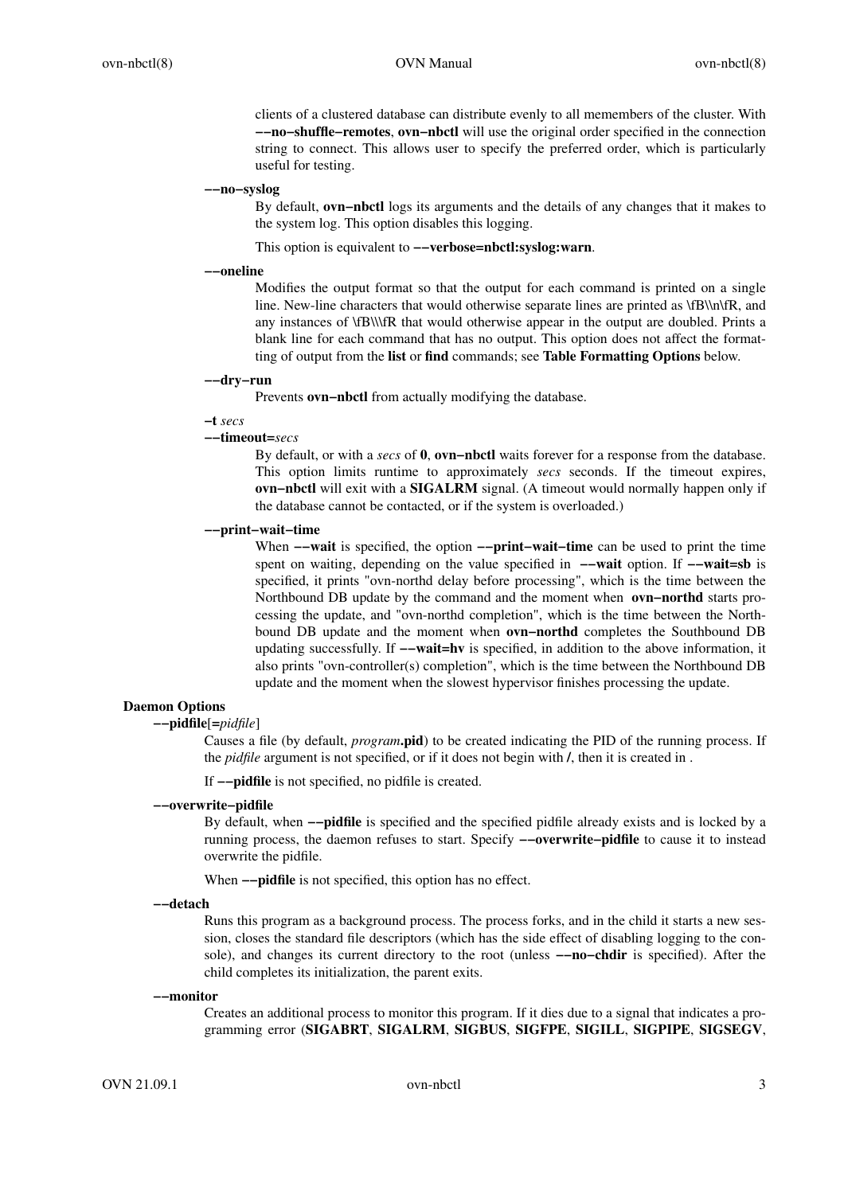clients of a clustered database can distribute evenly to all memembers of the cluster. With **−−no−shuffle−remotes**, **ovn−nbctl** will use the original order specified in the connection string to connect. This allows user to specify the preferred order, which is particularly useful for testing.

#### **−−no−syslog**

By default, **ovn−nbctl** logs its arguments and the details of any changes that it makes to the system log. This option disables this logging.

This option is equivalent to **−−verbose=nbctl:syslog:warn**.

#### **−−oneline**

Modifies the output format so that the output for each command is printed on a single line. New-line characters that would otherwise separate lines are printed as \fB\\n\fR, and any instances of \fB\\\fR that would otherwise appear in the output are doubled. Prints a blank line for each command that has no output. This option does not affect the formatting of output from the **list** or **find** commands; see **Table Formatting Options** below.

#### **−−dry−run**

Prevents **ovn−nbctl** from actually modifying the database.

#### **−t** *secs*

#### **−−timeout=***secs*

By default, or with a *secs* of **0**, **ovn−nbctl** waits forever for a response from the database. This option limits runtime to approximately *secs* seconds. If the timeout expires, **ovn−nbctl** will exit with a **SIGALRM** signal. (A timeout would normally happen only if the database cannot be contacted, or if the system is overloaded.)

## **−−print−wait−time**

When **−−wait** is specified, the option **−−print−wait−time** can be used to print the time spent on waiting, depending on the value specified in **−−wait** option. If **−−wait=sb** is specified, it prints "ovn-northd delay before processing", which is the time between the Northbound DB update by the command and the moment when **ovn−northd** starts processing the update, and "ovn-northd completion", which is the time between the Northbound DB update and the moment when **ovn−northd** completes the Southbound DB updating successfully. If **−−wait=hv** is specified, in addition to the above information, it also prints "ovn-controller(s) completion", which is the time between the Northbound DB update and the moment when the slowest hypervisor finishes processing the update.

#### **Daemon Options**

# **−−pidfile**[**=***pidfile*]

Causes a file (by default, *program***.pid**) to be created indicating the PID of the running process. If the *pidfile* argument is not specified, or if it does not begin with **/**, then it is created in .

If **−−pidfile** is not specified, no pidfile is created.

### **−−overwrite−pidfile**

By default, when **−−pidfile** is specified and the specified pidfile already exists and is locked by a running process, the daemon refuses to start. Specify **−−overwrite−pidfile** to cause it to instead overwrite the pidfile.

When **−−pidfile** is not specified, this option has no effect.

**−−detach**

Runs this program as a background process. The process forks, and in the child it starts a new session, closes the standard file descriptors (which has the side effect of disabling logging to the console), and changes its current directory to the root (unless **−−no−chdir** is specified). After the child completes its initialization, the parent exits.

#### **−−monitor**

Creates an additional process to monitor this program. If it dies due to a signal that indicates a programming error (**SIGABRT**, **SIGALRM**, **SIGBUS**, **SIGFPE**, **SIGILL**, **SIGPIPE**, **SIGSEGV**,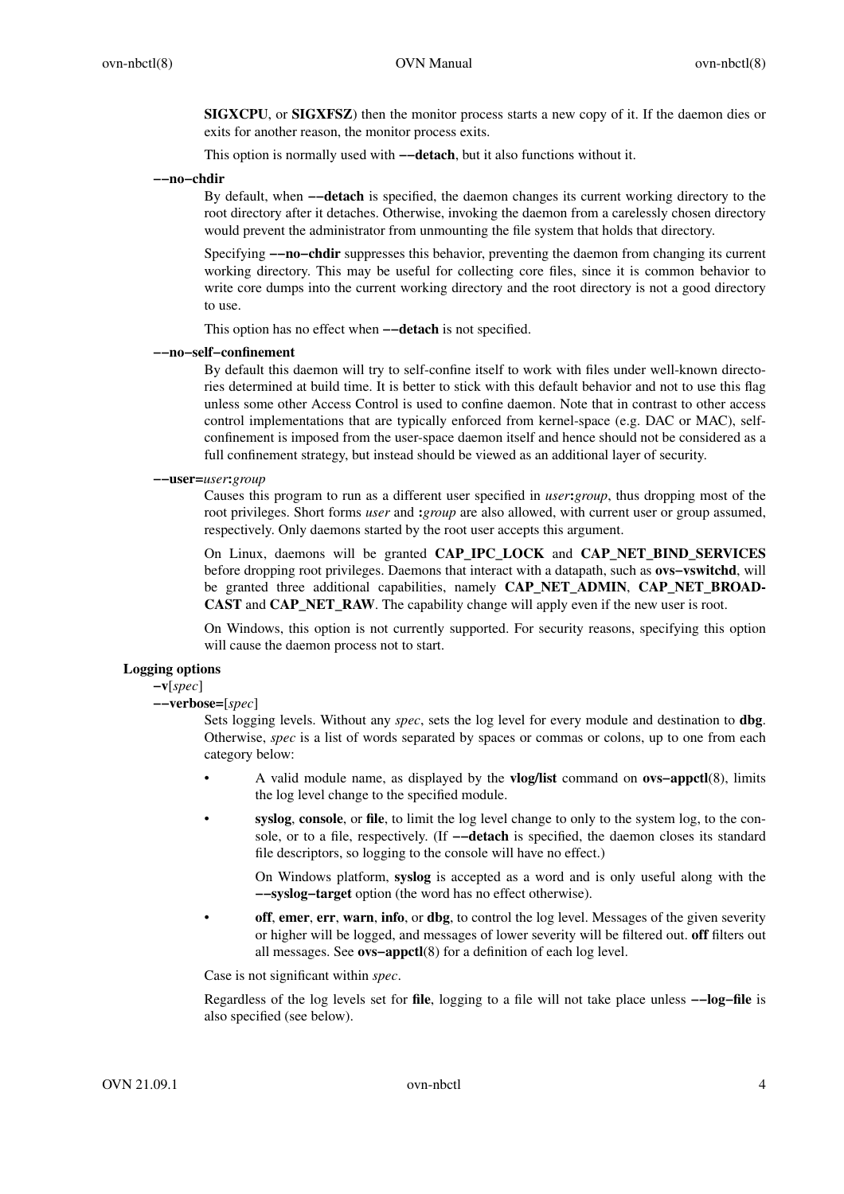**SIGXCPU**, or **SIGXFSZ**) then the monitor process starts a new copy of it. If the daemon dies or exits for another reason, the monitor process exits.

This option is normally used with **−−detach**, but it also functions without it.

**−−no−chdir**

By default, when **−−detach** is specified, the daemon changes its current working directory to the root directory after it detaches. Otherwise, invoking the daemon from a carelessly chosen directory would prevent the administrator from unmounting the file system that holds that directory.

Specifying **−−no−chdir** suppresses this behavior, preventing the daemon from changing its current working directory. This may be useful for collecting core files, since it is common behavior to write core dumps into the current working directory and the root directory is not a good directory to use.

This option has no effect when **−−detach** is not specified.

## **−−no−self−confinement**

By default this daemon will try to self-confine itself to work with files under well-known directories determined at build time. It is better to stick with this default behavior and not to use this flag unless some other Access Control is used to confine daemon. Note that in contrast to other access control implementations that are typically enforced from kernel-space (e.g. DAC or MAC), selfconfinement is imposed from the user-space daemon itself and hence should not be considered as a full confinement strategy, but instead should be viewed as an additional layer of security.

#### **−−user=***user***:***group*

Causes this program to run as a different user specified in *user***:***group*, thus dropping most of the root privileges. Short forms *user* and **:***group* are also allowed, with current user or group assumed, respectively. Only daemons started by the root user accepts this argument.

On Linux, daemons will be granted **CAP\_IPC\_LOCK** and **CAP\_NET\_BIND\_SERVICES** before dropping root privileges. Daemons that interact with a datapath, such as **ovs−vswitchd**, will be granted three additional capabilities, namely **CAP\_NET\_ADMIN**, **CAP\_NET\_BROAD-CAST** and **CAP\_NET\_RAW**. The capability change will apply even if the new user is root.

On Windows, this option is not currently supported. For security reasons, specifying this option will cause the daemon process not to start.

#### **Logging options**

**−v**[*spec*]

**−−verbose=**[*spec*]

Sets logging levels. Without any *spec*, sets the log level for every module and destination to **dbg**. Otherwise, *spec* is a list of words separated by spaces or commas or colons, up to one from each category below:

- A valid module name, as displayed by the **vlog/list** command on **ovs−appctl**(8), limits the log level change to the specified module.
- **syslog**, **console**, or **file**, to limit the log level change to only to the system log, to the console, or to a file, respectively. (If **−−detach** is specified, the daemon closes its standard file descriptors, so logging to the console will have no effect.)

On Windows platform, **syslog** is accepted as a word and is only useful along with the **−−syslog−target** option (the word has no effect otherwise).

**off, emer, err, warn, info, or dbg**, to control the log level. Messages of the given severity or higher will be logged, and messages of lower severity will be filtered out. **off** filters out all messages. See **ovs−appctl**(8) for a definition of each log level.

Case is not significant within *spec*.

Regardless of the log levels set for **file**, logging to a file will not take place unless **−−log−file** is also specified (see below).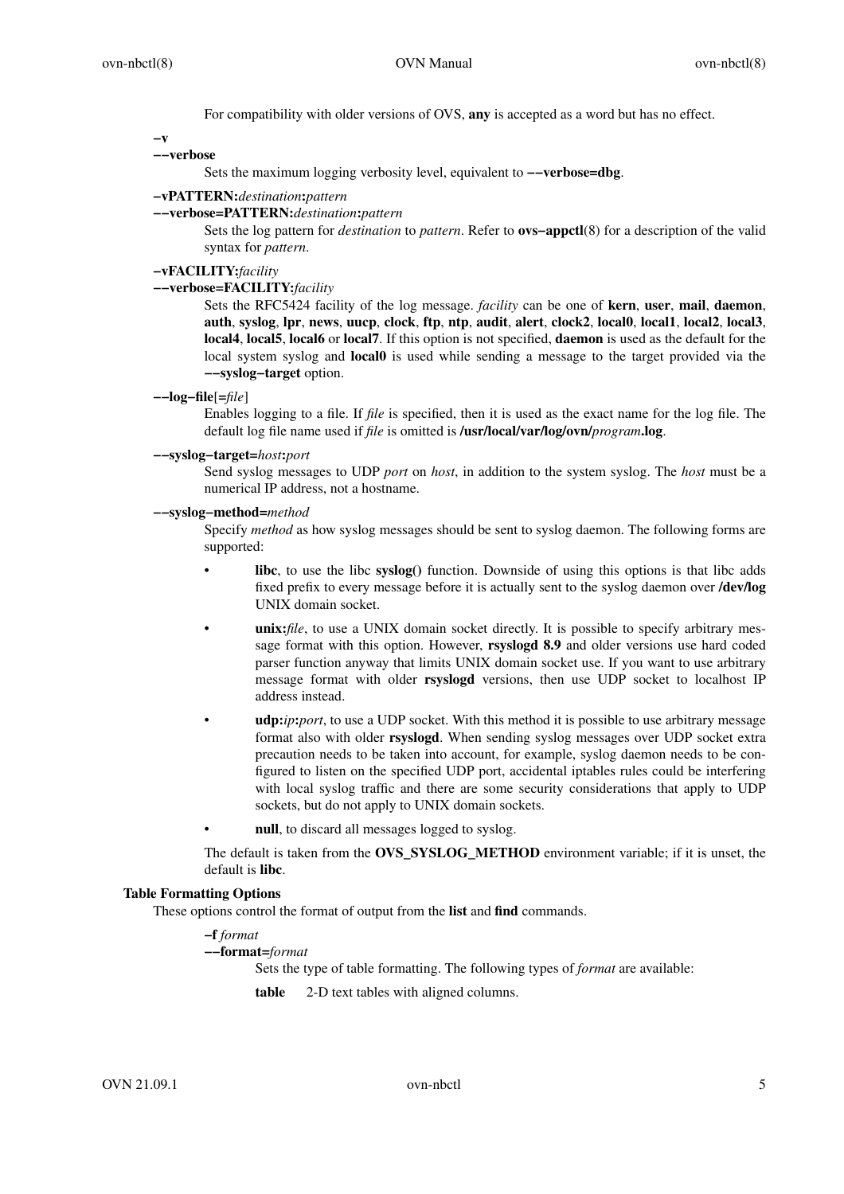For compatibility with older versions of OVS, **any** is accepted as a word but has no effect.

**−v**

## **−−verbose**

Sets the maximum logging verbosity level, equivalent to **−−verbose=dbg**.

# **−vPATTERN:***destination***:***pattern*

#### **−−verbose=PATTERN:***destination***:***pattern*

Sets the log pattern for *destination* to *pattern*. Refer to **ovs−appctl**(8) for a description of the valid syntax for *pattern*.

# **−vFACILITY:***facility*

# **−−verbose=FACILITY:***facility*

Sets the RFC5424 facility of the log message. *facility* can be one of **kern**, **user**, **mail**, **daemon**, **auth**, **syslog**, **lpr**, **news**, **uucp**, **clock**, **ftp**, **ntp**, **audit**, **alert**, **clock2**, **local0**, **local1**, **local2**, **local3**, **local4**, **local5**, **local6** or **local7**. If this option is not specified, **daemon** is used as the default for the local system syslog and **local0** is used while sending a message to the target provided via the **−−syslog−target** option.

**−−log−file**[**=***file*]

Enables logging to a file. If *file* is specified, then it is used as the exact name for the log file. The default log file name used if *file* is omitted is **/usr/local/var/log/ovn/***program***.log**.

### **−−syslog−target=***host***:***port*

Send syslog messages to UDP *port* on *host*, in addition to the system syslog. The *host* must be a numerical IP address, not a hostname.

#### **−−syslog−method=***method*

Specify *method* as how syslog messages should be sent to syslog daemon. The following forms are supported:

- **libc**, to use the libc **syslog()** function. Downside of using this options is that libc adds fixed prefix to every message before it is actually sent to the syslog daemon over **/dev/log** UNIX domain socket.
- **unix:***file*, to use a UNIX domain socket directly. It is possible to specify arbitrary message format with this option. However, **rsyslogd 8.9** and older versions use hard coded parser function anyway that limits UNIX domain socket use. If you want to use arbitrary message format with older **rsyslogd** versions, then use UDP socket to localhost IP address instead.
- **udp:***ip***:***port*, to use a UDP socket. With this method it is possible to use arbitrary message format also with older **rsyslogd**. When sending syslog messages over UDP socket extra precaution needs to be taken into account, for example, syslog daemon needs to be configured to listen on the specified UDP port, accidental iptables rules could be interfering with local syslog traffic and there are some security considerations that apply to UDP sockets, but do not apply to UNIX domain sockets.
- null, to discard all messages logged to syslog.

The default is taken from the **OVS\_SYSLOG\_METHOD** environment variable; if it is unset, the default is **libc**.

# **Table Formatting Options**

These options control the format of output from the **list** and **find** commands.

## **−f** *format*

**−−format=***format*

Sets the type of table formatting. The following types of *format* are available:

**table** 2-D text tables with aligned columns.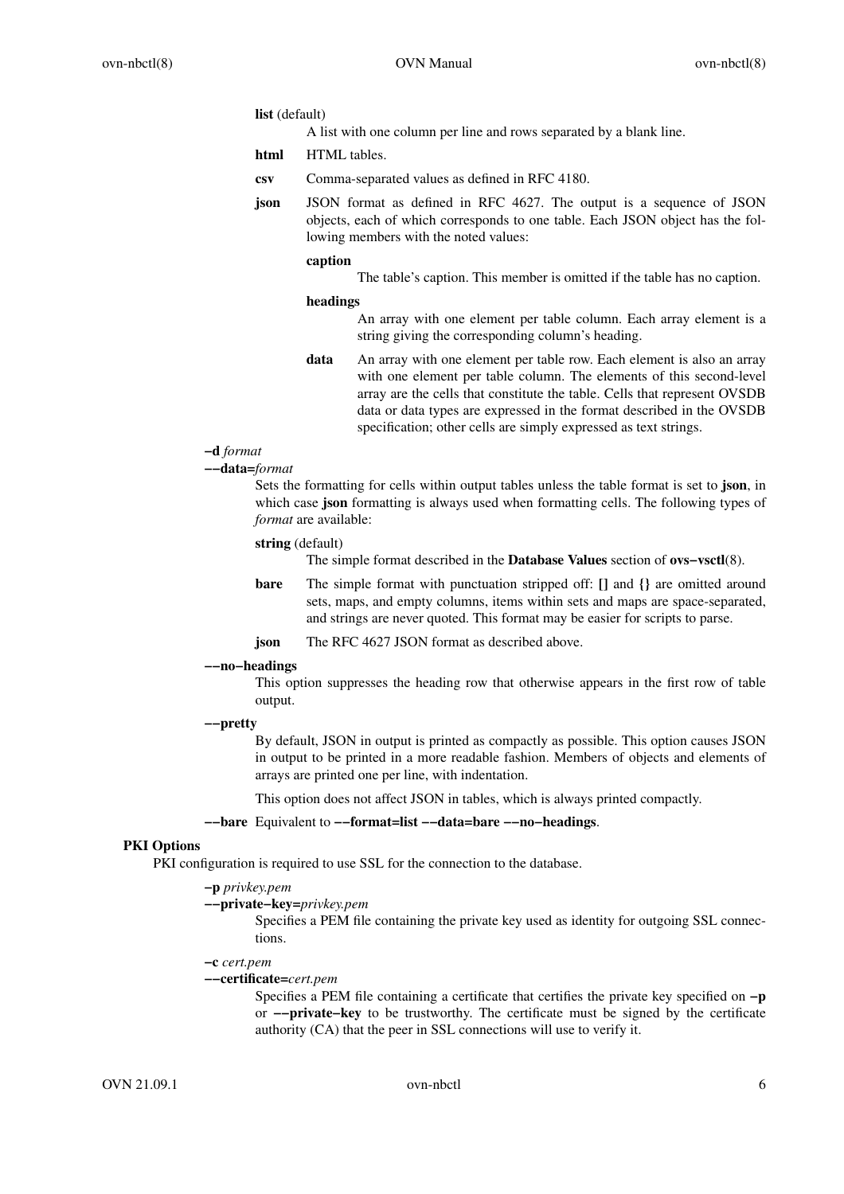#### **list** (default)

A list with one column per line and rows separated by a blank line.

- **html** HTML tables.
- **csv** Comma-separated values as defined in RFC 4180.
- **json** JSON format as defined in RFC 4627. The output is a sequence of JSON objects, each of which corresponds to one table. Each JSON object has the following members with the noted values:

#### **caption**

The table's caption. This member is omitted if the table has no caption.

#### **headings**

An array with one element per table column. Each array element is a string giving the corresponding column's heading.

**data** An array with one element per table row. Each element is also an array with one element per table column. The elements of this second-level array are the cells that constitute the table. Cells that represent OVSDB data or data types are expressed in the format described in the OVSDB specification; other cells are simply expressed as text strings.

# **−d** *format*

**−−data=***format*

Sets the formatting for cells within output tables unless the table format is set to **json**, in which case **json** formatting is always used when formatting cells. The following types of *format* are available:

# **string** (default)

The simple format described in the **Database Values** section of **ovs−vsctl**(8).

- **bare** The simple format with punctuation stripped off: **[]** and **{}** are omitted around sets, maps, and empty columns, items within sets and maps are space-separated, and strings are never quoted. This format may be easier for scripts to parse.
- **json** The RFC 4627 JSON format as described above.

#### **−−no−headings**

This option suppresses the heading row that otherwise appears in the first row of table output.

# **−−pretty**

By default, JSON in output is printed as compactly as possible. This option causes JSON in output to be printed in a more readable fashion. Members of objects and elements of arrays are printed one per line, with indentation.

This option does not affect JSON in tables, which is always printed compactly.

#### **−−bare** Equivalent to **−−format=list −−data=bare −−no−headings**.

# **PKI Options**

PKI configuration is required to use SSL for the connection to the database.

# **−p** *privkey.pem*

**−−private−key=***privkey.pem*

Specifies a PEM file containing the private key used as identity for outgoing SSL connections.

#### **−c** *cert.pem*

#### **−−certificate=***cert.pem*

Specifies a PEM file containing a certificate that certifies the private key specified on **−p** or **−−private−key** to be trustworthy. The certificate must be signed by the certificate authority (CA) that the peer in SSL connections will use to verify it.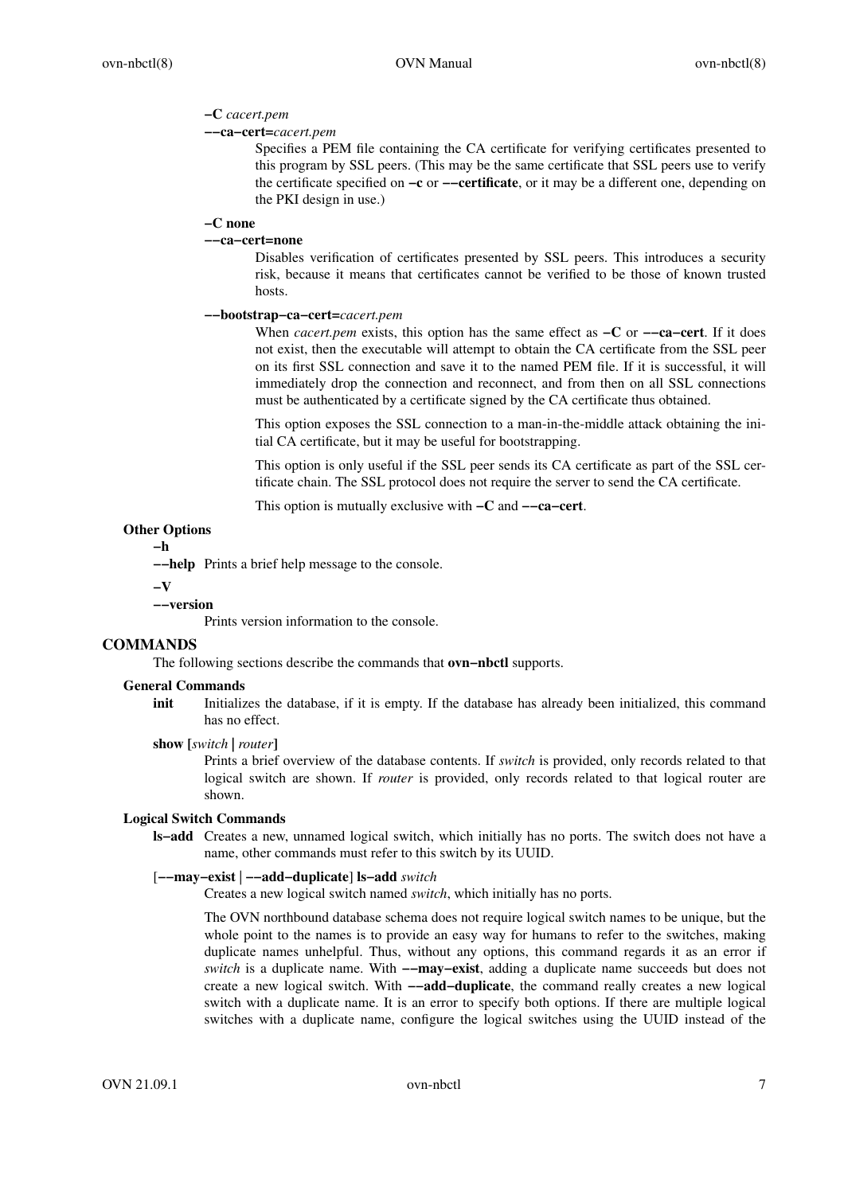# **−C** *cacert.pem*

# **−−ca−cert=***cacert.pem*

Specifies a PEM file containing the CA certificate for verifying certificates presented to this program by SSL peers. (This may be the same certificate that SSL peers use to verify the certificate specified on **−c** or **−−certificate**, or it may be a different one, depending on the PKI design in use.)

### **−C none**

# **−−ca−cert=none**

Disables verification of certificates presented by SSL peers. This introduces a security risk, because it means that certificates cannot be verified to be those of known trusted hosts.

# **−−bootstrap−ca−cert=***cacert.pem*

When *cacert.pem* exists, this option has the same effect as **−C** or **−−ca−cert**. If it does not exist, then the executable will attempt to obtain the CA certificate from the SSL peer on its first SSL connection and save it to the named PEM file. If it is successful, it will immediately drop the connection and reconnect, and from then on all SSL connections must be authenticated by a certificate signed by the CA certificate thus obtained.

This option exposes the SSL connection to a man-in-the-middle attack obtaining the initial CA certificate, but it may be useful for bootstrapping.

This option is only useful if the SSL peer sends its CA certificate as part of the SSL certificate chain. The SSL protocol does not require the server to send the CA certificate.

This option is mutually exclusive with **−C** and **−−ca−cert**.

# **Other Options**

**−h**

**−−help** Prints a brief help message to the console.

#### **−V**

## **−−version**

Prints version information to the console.

## **COMMANDS**

The following sections describe the commands that **ovn−nbctl** supports.

## **General Commands**

**init** Initializes the database, if it is empty. If the database has already been initialized, this command has no effect.

#### **show [***switch* **|** *router***]**

Prints a brief overview of the database contents. If *switch* is provided, only records related to that logical switch are shown. If *router* is provided, only records related to that logical router are shown.

#### **Logical Switch Commands**

**ls−add** Creates a new, unnamed logical switch, which initially has no ports. The switch does not have a name, other commands must refer to this switch by its UUID.

# [**−−may−exist** | **−−add−duplicate**] **ls−add** *switch*

Creates a new logical switch named *switch*, which initially has no ports.

The OVN northbound database schema does not require logical switch names to be unique, but the whole point to the names is to provide an easy way for humans to refer to the switches, making duplicate names unhelpful. Thus, without any options, this command regards it as an error if *switch* is a duplicate name. With **−−may−exist**, adding a duplicate name succeeds but does not create a new logical switch. With **−−add−duplicate**, the command really creates a new logical switch with a duplicate name. It is an error to specify both options. If there are multiple logical switches with a duplicate name, configure the logical switches using the UUID instead of the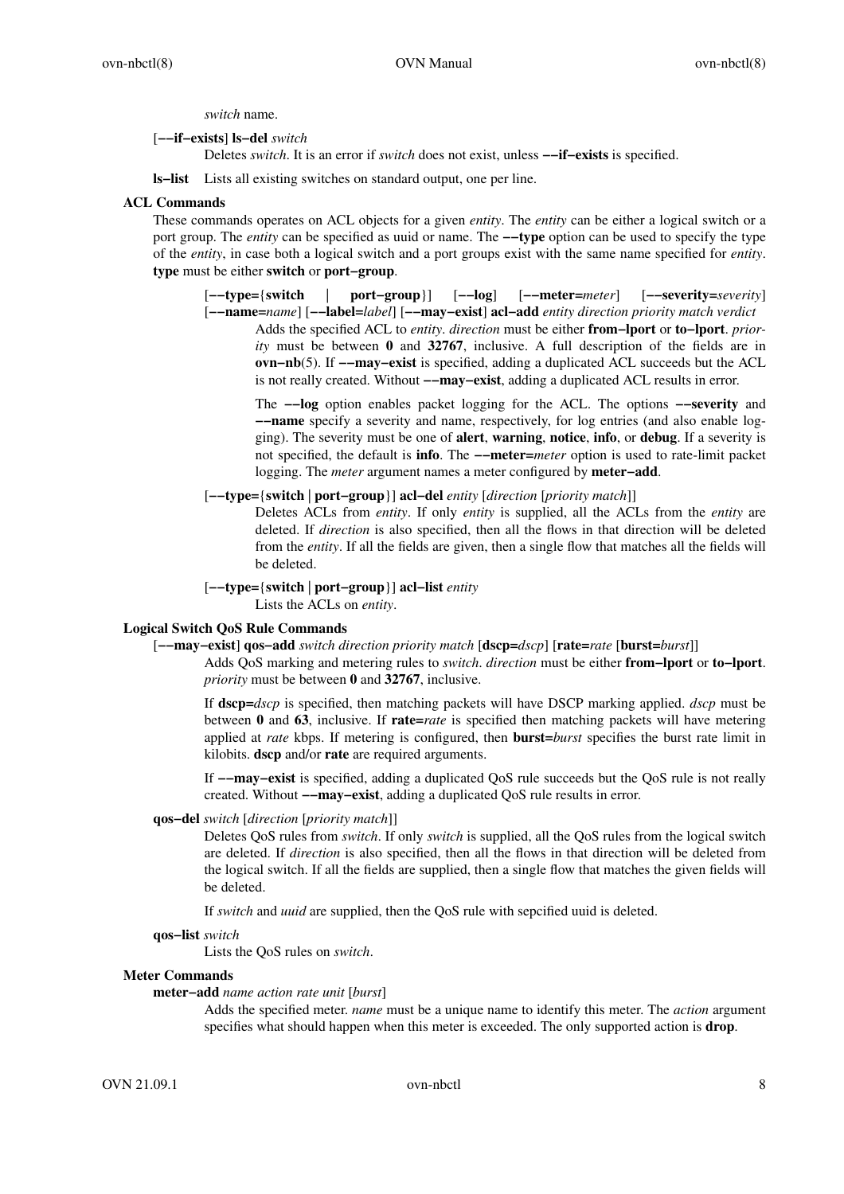*switch* name.

[**−−if−exists**] **ls−del** *switch*

Deletes *switch*. It is an error if *switch* does not exist, unless **−−if−exists** is specified.

**ls−list** Lists all existing switches on standard output, one per line.

### **ACL Commands**

These commands operates on ACL objects for a given *entity*. The *entity* can be either a logical switch or a port group. The *entity* can be specified as uuid or name. The **−−type** option can be used to specify the type of the *entity*, in case both a logical switch and a port groups exist with the same name specified for *entity*. **type** must be either **switch** or **port−group**.

[**−−type=**{**switch** | **port−group**}] [**−−log**] [**−−meter=***meter*] [**−−severity=***severity*]

[**−−name=***name*] [**−−label=***label*] [**−−may−exist**] **acl−add** *entity direction priority match verdict* Adds the specified ACL to *entity*. *direction* must be either **from−lport** or **to−lport**. *priority* must be between 0 and 32767, inclusive. A full description of the fields are in **ovn−nb**(5). If **−−may−exist** is specified, adding a duplicated ACL succeeds but the ACL is not really created. Without **−−may−exist**, adding a duplicated ACL results in error.

The **−−log** option enables packet logging for the ACL. The options **−−severity** and **−−name** specify a severity and name, respectively, for log entries (and also enable logging). The severity must be one of **alert**, **warning**, **notice**, **info**, or **debug**. If a sev erity is not specified, the default is **info**. The **−−meter=***meter* option is used to rate-limit packet logging. The *meter* argument names a meter configured by **meter−add**.

[**−−type=**{**switch** | **port−group**}] **acl−del** *entity* [*direction* [*priority match*]]

Deletes ACLs from *entity*. If only *entity* is supplied, all the ACLs from the *entity* are deleted. If *direction* is also specified, then all the flows in that direction will be deleted from the *entity*. If all the fields are given, then a single flow that matches all the fields will be deleted.

[**−−type=**{**switch** | **port−group**}] **acl−list** *entity*

Lists the ACLs on *entity*.

# **Logical Switch QoS Rule Commands**

[**−−may−exist**] **qos−add** *switch direction priority match* [**dscp=***dscp*] [**rate=***rate* [**burst=***burst*]]

Adds QoS marking and metering rules to *switch*. *direction* must be either **from−lport** or **to−lport**. *priority* must be between **0** and **32767**, inclusive.

If **dscp=***dscp* is specified, then matching packets will have DSCP marking applied. *dscp* must be between **0** and **63**, inclusive. If **rate=***rate* is specified then matching packets will have metering applied at *rate* kbps. If metering is configured, then **burst=***burst* specifies the burst rate limit in kilobits. **dscp** and/or **rate** are required arguments.

If **−−may−exist** is specified, adding a duplicated QoS rule succeeds but the QoS rule is not really created. Without **−−may−exist**, adding a duplicated QoS rule results in error.

### **qos−del** *switch* [*direction* [*priority match*]]

Deletes QoS rules from *switch*. If only *switch* is supplied, all the QoS rules from the logical switch are deleted. If *direction* is also specified, then all the flows in that direction will be deleted from the logical switch. If all the fields are supplied, then a single flow that matches the given fields will be deleted.

If *switch* and *uuid* are supplied, then the QoS rule with sepcified uuid is deleted.

#### **qos−list** *switch*

Lists the QoS rules on *switch*.

### **Meter Commands**

**meter−add** *name action rate unit* [*burst*]

Adds the specified meter. *name* must be a unique name to identify this meter. The *action* argument specifies what should happen when this meter is exceeded. The only supported action is **drop**.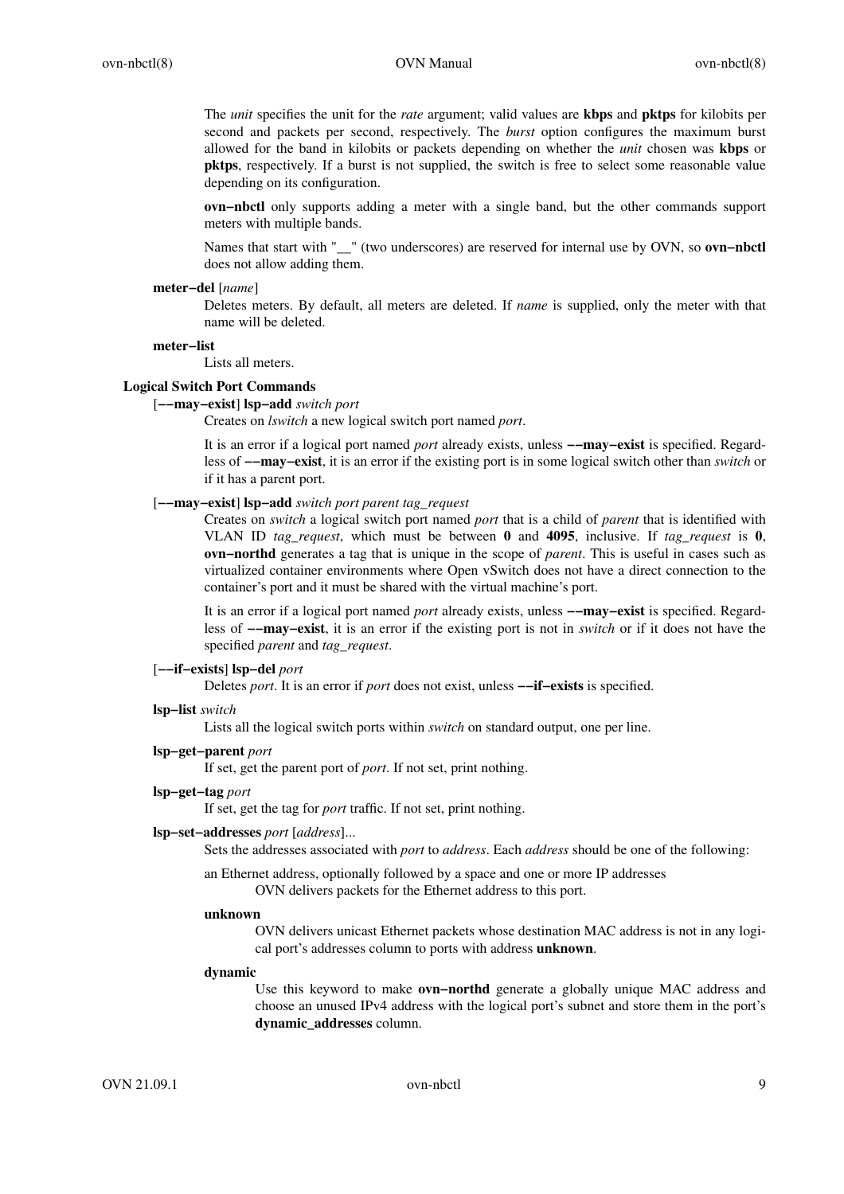The *unit* specifies the unit for the *rate* argument; valid values are **kbps** and **pktps** for kilobits per second and packets per second, respectively. The *burst* option configures the maximum burst allowed for the band in kilobits or packets depending on whether the *unit* chosen was **kbps** or **pktps**, respectively. If a burst is not supplied, the switch is free to select some reasonable value depending on its configuration.

**ovn−nbctl** only supports adding a meter with a single band, but the other commands support meters with multiple bands.

Names that start with "\_\_" (two underscores) are reserved for internal use by OVN, so **ovn−nbctl** does not allow adding them.

#### **meter−del** [*name*]

Deletes meters. By default, all meters are deleted. If *name* is supplied, only the meter with that name will be deleted.

#### **meter−list**

# Lists all meters.

# **Logical Switch Port Commands**

#### [**−−may−exist**] **lsp−add** *switch port*

Creates on *lswitch* a new logical switch port named *port*.

It is an error if a logical port named *port* already exists, unless **−−may−exist** is specified. Regardless of **−−may−exist**, it is an error if the existing port is in some logical switch other than *switch* or if it has a parent port.

### [**−−may−exist**] **lsp−add** *switch port parent tag\_request*

Creates on *switch* a logical switch port named *port* that is a child of *parent* that is identified with VLAN ID *tag\_request*, which must be between **0** and **4095**, inclusive. If *tag\_request* is **0**, **ovn−northd** generates a tag that is unique in the scope of *parent*. This is useful in cases such as virtualized container environments where Open vSwitch does not have a direct connection to the container's port and it must be shared with the virtual machine's port.

It is an error if a logical port named *port* already exists, unless **−−may−exist** is specified. Regardless of **−−may−exist**, it is an error if the existing port is not in *switch* or if it does not have the specified *parent* and *tag\_request*.

# [**−−if−exists**] **lsp−del** *port*

Deletes *port*. It is an error if *port* does not exist, unless **−−if−exists** is specified.

#### **lsp−list** *switch*

Lists all the logical switch ports within *switch* on standard output, one per line.

# **lsp−get−parent** *port*

If set, get the parent port of *port*. If not set, print nothing.

#### **lsp−get−tag** *port*

If set, get the tag for *port* traffic. If not set, print nothing.

#### **lsp−set−addresses** *port* [*address*]...

Sets the addresses associated with *port* to *address*. Each *address* should be one of the following:

an Ethernet address, optionally followed by a space and one or more IP addresses OVN delivers packets for the Ethernet address to this port.

#### **unknown**

OVN delivers unicast Ethernet packets whose destination MAC address is not in any logical port's addresses column to ports with address **unknown**.

#### **dynamic**

Use this keyword to make **ovn−northd** generate a globally unique MAC address and choose an unused IPv4 address with the logical port's subnet and store them in the port's **dynamic\_addresses** column.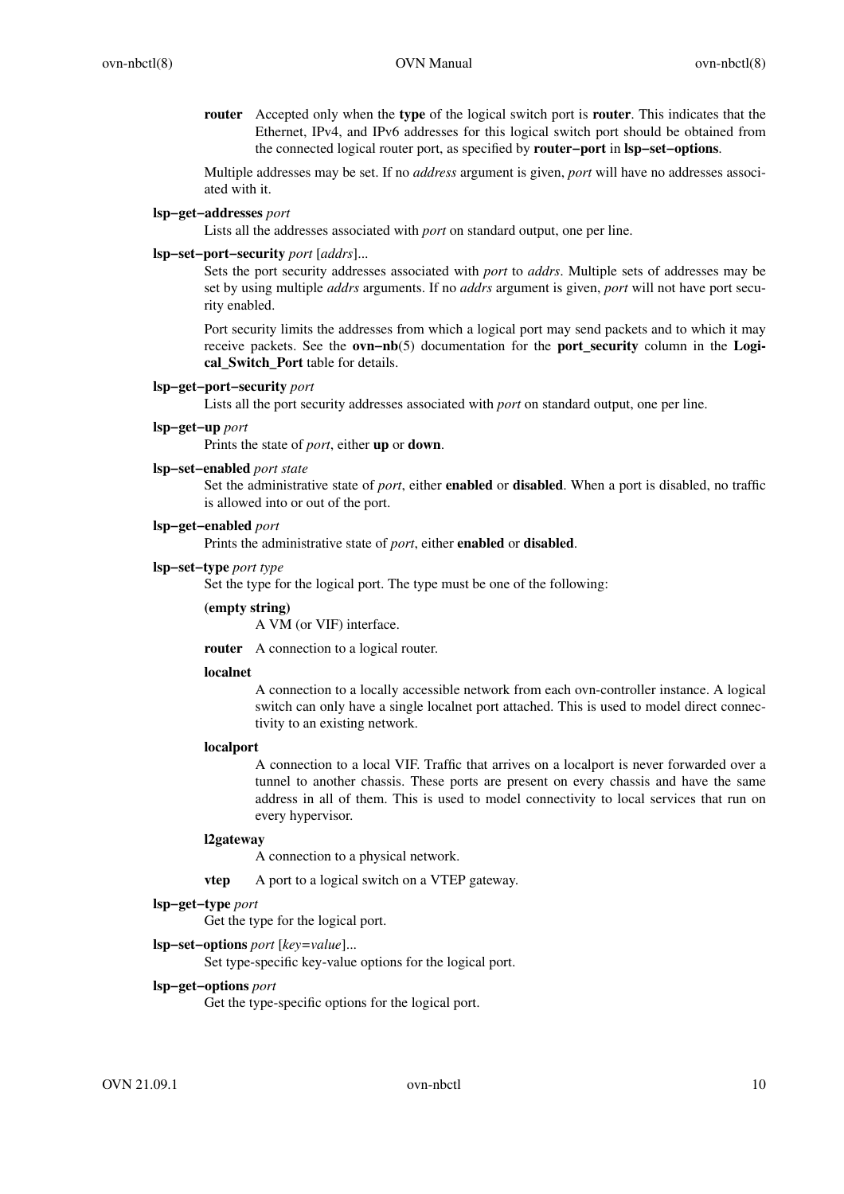**router** Accepted only when the **type** of the logical switch port is **router**. This indicates that the Ethernet, IPv4, and IPv6 addresses for this logical switch port should be obtained from the connected logical router port, as specified by **router−port** in **lsp−set−options**.

Multiple addresses may be set. If no *address* argument is given, *port* will have no addresses associated with it.

### **lsp−get−addresses** *port*

Lists all the addresses associated with *port* on standard output, one per line.

### **lsp−set−port−security** *port* [*addrs*]...

Sets the port security addresses associated with *port* to *addrs*. Multiple sets of addresses may be set by using multiple *addrs* arguments. If no *addrs* argument is given, *port* will not have port security enabled.

Port security limits the addresses from which a logical port may send packets and to which it may receive packets. See the **ovn−nb**(5) documentation for the **port\_security** column in the **Logical\_Switch\_Port** table for details.

# **lsp−get−port−security** *port*

Lists all the port security addresses associated with *port* on standard output, one per line.

### **lsp−get−up** *port*

Prints the state of *port*, either **up** or **down**.

#### **lsp−set−enabled** *port state*

Set the administrative state of *port*, either **enabled** or **disabled**. When a port is disabled, no traffic is allowed into or out of the port.

# **lsp−get−enabled** *port*

Prints the administrative state of *port*, either **enabled** or **disabled**.

### **lsp−set−type** *port type*

Set the type for the logical port. The type must be one of the following:

## **(empty string)**

A VM (or VIF) interface.

**router** A connection to a logical router.

## **localnet**

A connection to a locally accessible network from each ovn-controller instance. A logical switch can only have a single localnet port attached. This is used to model direct connectivity to an existing network.

## **localport**

A connection to a local VIF. Traffic that arrives on a localport is never forwarded over a tunnel to another chassis. These ports are present on every chassis and have the same address in all of them. This is used to model connectivity to local services that run on every hypervisor.

#### **l2gateway**

A connection to a physical network.

**vtep** A port to a logical switch on a VTEP gateway.

# **lsp−get−type** *port*

Get the type for the logical port.

# **lsp−set−options** *port* [*key=value*]...

Set type-specific key-value options for the logical port.

# **lsp−get−options** *port*

Get the type-specific options for the logical port.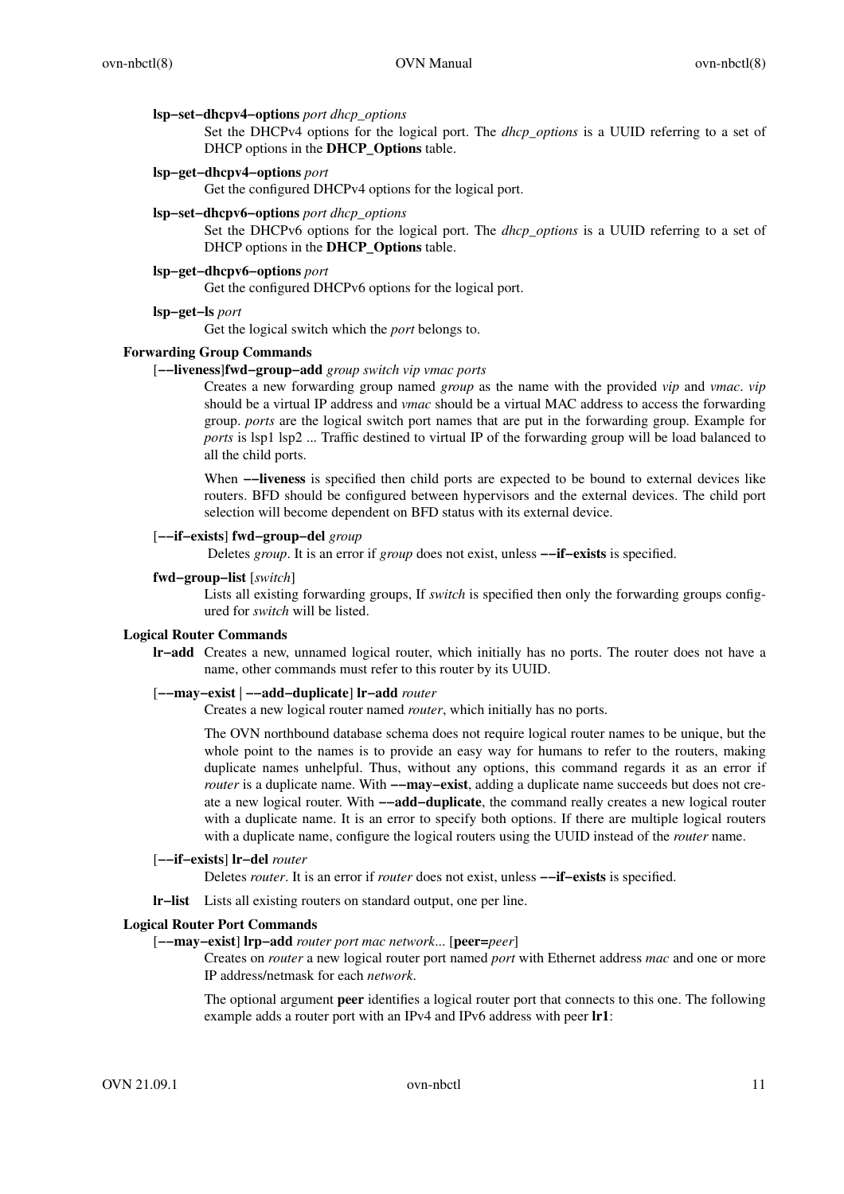### **lsp−set−dhcpv4−options** *port dhcp\_options*

Set the DHCPv4 options for the logical port. The *dhcp\_options* is a UUID referring to a set of DHCP options in the **DHCP\_Options** table.

# **lsp−get−dhcpv4−options** *port*

Get the configured DHCPv4 options for the logical port.

### **lsp−set−dhcpv6−options** *port dhcp\_options*

Set the DHCPv6 options for the logical port. The *dhcp\_options* is a UUID referring to a set of DHCP options in the **DHCP\_Options** table.

# **lsp−get−dhcpv6−options** *port*

Get the configured DHCPv6 options for the logical port.

#### **lsp−get−ls** *port*

Get the logical switch which the *port* belongs to.

### **Forwarding Group Commands**

### [**−−liveness**]**fwd−group−add** *group switch vip vmac ports*

Creates a new forwarding group named *group* as the name with the provided *vip* and *vmac*. *vip* should be a virtual IP address and *vmac* should be a virtual MAC address to access the forwarding group. *ports* are the logical switch port names that are put in the forwarding group. Example for *ports* is lsp1 lsp2 ... Traffic destined to virtual IP of the forwarding group will be load balanced to all the child ports.

When **−−liveness** is specified then child ports are expected to be bound to external devices like routers. BFD should be configured between hypervisors and the external devices. The child port selection will become dependent on BFD status with its external device.

## [**−−if−exists**] **fwd−group−del** *group*

Deletes *group*. It is an error if *group* does not exist, unless **−−if−exists** is specified.

#### **fwd−group−list** [*switch*]

Lists all existing forwarding groups, If *switch* is specified then only the forwarding groups configured for *switch* will be listed.

#### **Logical Router Commands**

**lr−add** Creates a new, unnamed logical router, which initially has no ports. The router does not have a name, other commands must refer to this router by its UUID.

#### [**−−may−exist** | **−−add−duplicate**] **lr−add** *router*

Creates a new logical router named *router*, which initially has no ports.

The OVN northbound database schema does not require logical router names to be unique, but the whole point to the names is to provide an easy way for humans to refer to the routers, making duplicate names unhelpful. Thus, without any options, this command regards it as an error if *router* is a duplicate name. With **−−may−exist**, adding a duplicate name succeeds but does not create a new logical router. With **−−add−duplicate**, the command really creates a new logical router with a duplicate name. It is an error to specify both options. If there are multiple logical routers with a duplicate name, configure the logical routers using the UUID instead of the *router* name.

### [**−−if−exists**] **lr−del** *router*

Deletes *router*. It is an error if *router* does not exist, unless **−−if−exists** is specified.

**lr−list** Lists all existing routers on standard output, one per line.

# **Logical Router Port Commands**

#### [**−−may−exist**] **lrp−add** *router port mac network*... [**peer=***peer*]

Creates on *router* a new logical router port named *port* with Ethernet address *mac* and one or more IP address/netmask for each *network*.

The optional argument **peer** identifies a logical router port that connects to this one. The following example adds a router port with an IPv4 and IPv6 address with peer **lr1**: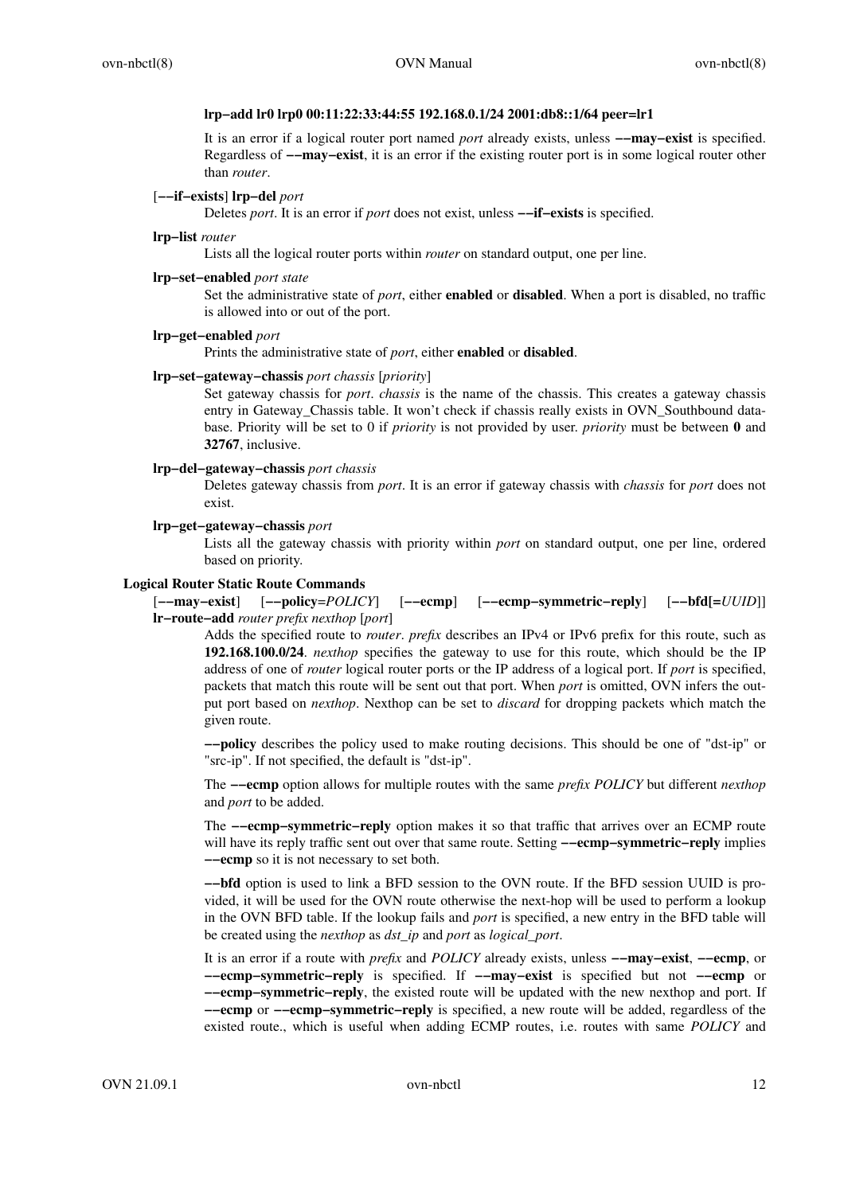## **lrp−add lr0 lrp0 00:11:22:33:44:55 192.168.0.1/24 2001:db8::1/64 peer=lr1**

It is an error if a logical router port named *port* already exists, unless **−−may−exist** is specified. Regardless of **−−may−exist**, it is an error if the existing router port is in some logical router other than *router*.

# [**−−if−exists**] **lrp−del** *port*

Deletes *port*. It is an error if *port* does not exist, unless **−−if−exists** is specified.

#### **lrp−list** *router*

Lists all the logical router ports within *router* on standard output, one per line.

### **lrp−set−enabled** *port state*

Set the administrative state of *port*, either **enabled** or **disabled**. When a port is disabled, no traffic is allowed into or out of the port.

# **lrp−get−enabled** *port*

Prints the administrative state of *port*, either **enabled** or **disabled**.

#### **lrp−set−gateway−chassis** *port chassis* [*priority*]

Set gateway chassis for *port*. *chassis* is the name of the chassis. This creates a gateway chassis entry in Gateway\_Chassis table. It won't check if chassis really exists in OVN\_Southbound database. Priority will be set to 0 if *priority* is not provided by user. *priority* must be between **0** and **32767**, inclusive.

#### **lrp−del−gateway−chassis** *port chassis*

Deletes gateway chassis from *port*. It is an error if gateway chassis with *chassis* for *port* does not exist.

# **lrp−get−gateway−chassis** *port*

Lists all the gateway chassis with priority within *port* on standard output, one per line, ordered based on priority.

### **Logical Router Static Route Commands**

[**−−may−exist**] [**−−policy**=*POLICY*] [**−−ecmp**] [**−−ecmp−symmetric−reply**] [**−−bfd[=***UUID*]] **lr−route−add** *router prefix nexthop* [*port*]

Adds the specified route to *router*. *prefix* describes an IPv4 or IPv6 prefix for this route, such as **192.168.100.0/24**. *nexthop* specifies the gateway to use for this route, which should be the IP address of one of *router* logical router ports or the IP address of a logical port. If *port* is specified, packets that match this route will be sent out that port. When *port* is omitted, OVN infers the output port based on *nexthop*. Nexthop can be set to *discard* for dropping packets which match the given route.

**−−policy** describes the policy used to make routing decisions. This should be one of "dst-ip" or "src-ip". If not specified, the default is "dst-ip".

The **−−ecmp** option allows for multiple routes with the same *prefix POLICY* but different *nexthop* and *port* to be added.

The **−−ecmp–symmetric–reply** option makes it so that traffic that arrives over an ECMP route will have its reply traffic sent out over that same route. Setting **−−ecmp−symmetric−reply** implies **−−ecmp** so it is not necessary to set both.

**−−bfd** option is used to link a BFD session to the OVN route. If the BFD session UUID is provided, it will be used for the OVN route otherwise the next-hop will be used to perform a lookup in the OVN BFD table. If the lookup fails and *port* is specified, a new entry in the BFD table will be created using the *nexthop* as *dst\_ip* and *port* as *logical\_port*.

It is an error if a route with *prefix* and *POLICY* already exists, unless **−−may−exist**, **−−ecmp**, or **−−ecmp−symmetric−reply** is specified. If **−−may−exist** is specified but not **−−ecmp** or **−−ecmp−symmetric−reply**, the existed route will be updated with the new nexthop and port. If **−−ecmp** or **−−ecmp−symmetric−reply** is specified, a new route will be added, regardless of the existed route., which is useful when adding ECMP routes, i.e. routes with same *POLICY* and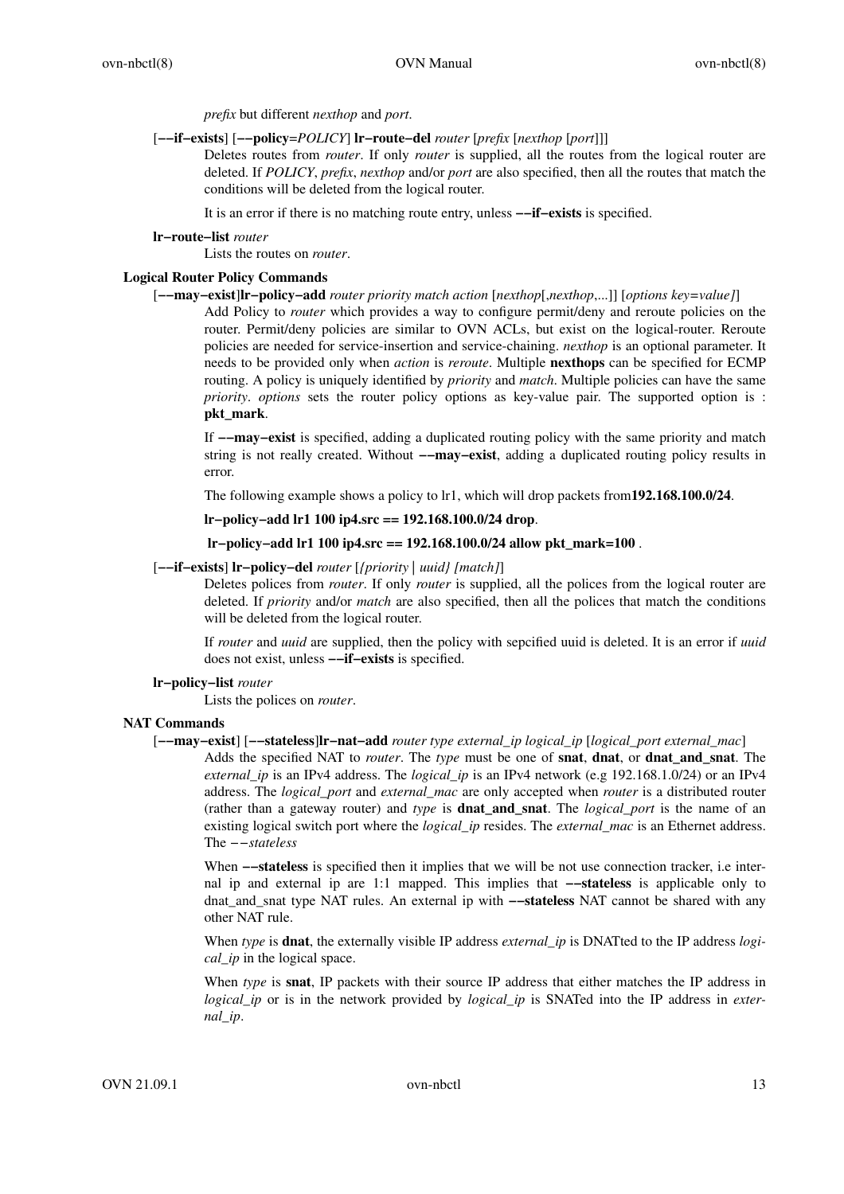*prefix* but different *nexthop* and *port*.

#### [**−−if−exists**] [**−−policy**=*POLICY*] **lr−route−del** *router* [*prefix* [*nexthop* [*port*]]]

Deletes routes from *router*. If only *router* is supplied, all the routes from the logical router are deleted. If *POLICY*, *prefix*, *nexthop* and/or *port* are also specified, then all the routes that match the conditions will be deleted from the logical router.

It is an error if there is no matching route entry, unless **−−if−exists** is specified.

#### **lr−route−list** *router*

Lists the routes on *router*.

# **Logical Router Policy Commands**

[**−−may−exist**]**lr−policy−add** *router priority match action* [*nexthop*[,*nexthop*,...]] [*options key=value]*]

Add Policy to *router* which provides a way to configure permit/deny and reroute policies on the router. Permit/deny policies are similar to OVN ACLs, but exist on the logical-router. Reroute policies are needed for service-insertion and service-chaining. *nexthop* is an optional parameter. It needs to be provided only when *action* is *reroute*. Multiple **nexthops** can be specified for ECMP routing. A policy is uniquely identified by *priority* and *match*. Multiple policies can have the same *priority*. *options* sets the router policy options as key-value pair. The supported option is : **pkt\_mark**.

If **−−may−exist** is specified, adding a duplicated routing policy with the same priority and match string is not really created. Without **−−may−exist**, adding a duplicated routing policy results in error.

The following example shows a policy to lr1, which will drop packets from**192.168.100.0/24**.

**lr−policy−add lr1 100 ip4.src == 192.168.100.0/24 drop**.

**lr−policy−add lr1 100 ip4.src == 192.168.100.0/24 allow pkt\_mark=100** .

# [**−−if−exists**] **lr−policy−del** *router* [*{priority | uuid} [match]*]

Deletes polices from *router*. If only *router* is supplied, all the polices from the logical router are deleted. If *priority* and/or *match* are also specified, then all the polices that match the conditions will be deleted from the logical router.

If *router* and *uuid* are supplied, then the policy with sepcified uuid is deleted. It is an error if *uuid* does not exist, unless **−−if−exists** is specified.

## **lr−policy−list** *router*

Lists the polices on *router*.

## **NAT Commands**

[**−−may−exist**] [**−−stateless**]**lr−nat−add** *router type external\_ip logical\_ip* [*logical\_port external\_mac*] Adds the specified NAT to *router*. The *type* must be one of **snat**, **dnat**, or **dnat\_and\_snat**. The *external\_ip* is an IPv4 address. The *logical\_ip* is an IPv4 network (e.g 192.168.1.0/24) or an IPv4 address. The *logical\_port* and *external\_mac* are only accepted when *router* is a distributed router (rather than a gateway router) and *type* is **dnat\_and\_snat**. The *logical\_port* is the name of an existing logical switch port where the *logical\_ip* resides. The *external\_mac* is an Ethernet address. The *−−stateless*

When **−−stateless** is specified then it implies that we will be not use connection tracker, i.e internal ip and external ip are 1:1 mapped. This implies that **−−stateless** is applicable only to dnat\_and\_snat type NAT rules. An external ip with **−−stateless** NAT cannot be shared with any other NAT rule.

When *type* is **dnat**, the externally visible IP address *external\_ip* is DNATted to the IP address *logical\_ip* in the logical space.

When *type* is **snat**, IP packets with their source IP address that either matches the IP address in *logical ip* or is in the network provided by *logical ip* is SNATed into the IP address in *external\_ip*.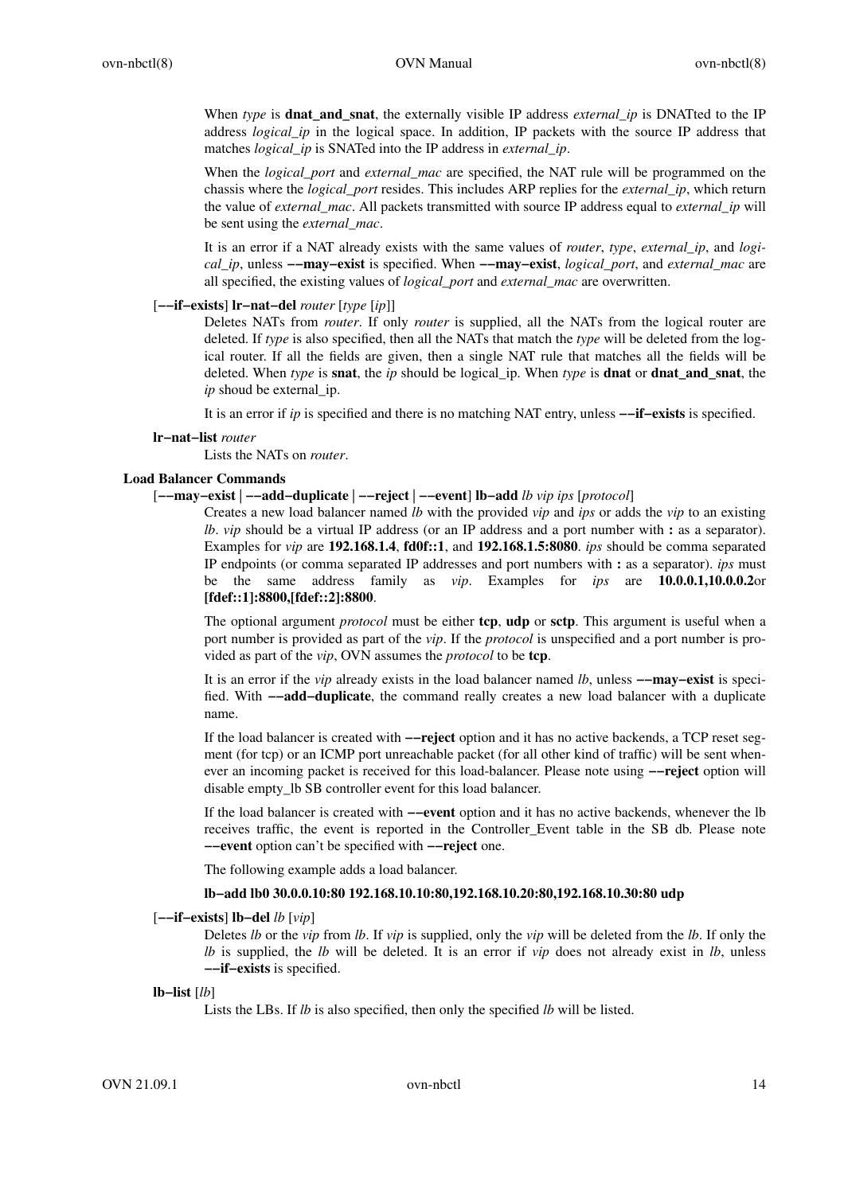When *type* is **dnat\_and\_snat**, the externally visible IP address *external\_ip* is DNATted to the IP address *logical\_ip* in the logical space. In addition, IP packets with the source IP address that matches *logical\_ip* is SNATed into the IP address in *external\_ip*.

When the *logical\_port* and *external\_mac* are specified, the NAT rule will be programmed on the chassis where the *logical\_port* resides. This includes ARP replies for the *external\_ip*, which return the value of *external\_mac*. All packets transmitted with source IP address equal to *external\_ip* will be sent using the *external\_mac*.

It is an error if a NAT already exists with the same values of *router*, *type*, *external\_ip*, and *logical\_ip*, unless **−−may−exist** is specified. When **−−may−exist**, *logical\_port*, and *external\_mac* are all specified, the existing values of *logical\_port* and *external\_mac* are overwritten.

[**−−if−exists**] **lr−nat−del** *router* [*type* [*ip*]]

Deletes NATs from *router*. If only *router* is supplied, all the NATs from the logical router are deleted. If *type* is also specified, then all the NATs that match the *type* will be deleted from the logical router. If all the fields are given, then a single NAT rule that matches all the fields will be deleted. When *type* is **snat**, the *ip* should be logical\_ip. When *type* is **dnat** or **dnat\_and\_snat**, the *ip* shoud be external *ip*.

It is an error if *ip* is specified and there is no matching NAT entry, unless **−−if−exists** is specified.

**lr−nat−list** *router*

Lists the NATs on *router*.

## **Load Balancer Commands**

## [**−−may−exist** | **−−add−duplicate** | **−−reject** | **−−event**] **lb−add** *lb vip ips* [*protocol*]

Creates a new load balancer named *lb* with the provided *vip* and *ips* or adds the *vip* to an existing *lb. vip* should be a virtual IP address (or an IP address and a port number with **:** as a separator). Examples for *vip* are **192.168.1.4**, **fd0f::1**, and **192.168.1.5:8080**. *ips* should be comma separated IP endpoints (or comma separated IP addresses and port numbers with **:** as a separator). *ips* must be the same address family as *vip*. Examples for *ips* are **10.0.0.1,10.0.0.2**or **[fdef::1]:8800,[fdef::2]:8800**.

The optional argument *protocol* must be either **tcp**, **udp** or **sctp**. This argument is useful when a port number is provided as part of the *vip*. If the *protocol* is unspecified and a port number is provided as part of the *vip*, OVN assumes the *protocol* to be **tcp**.

It is an error if the *vip* already exists in the load balancer named *lb*, unless **−−may−exist** is specified. With **−−add−duplicate**, the command really creates a new load balancer with a duplicate name.

If the load balancer is created with **−−reject** option and it has no active backends, a TCP reset segment (for tcp) or an ICMP port unreachable packet (for all other kind of traffic) will be sent whenever an incoming packet is received for this load-balancer. Please note using **−−reject** option will disable empty\_lb SB controller event for this load balancer.

If the load balancer is created with **−−event** option and it has no active backends, whenever the lb receives traffic, the event is reported in the Controller\_Event table in the SB db. Please note **−−event** option can't be specified with **−−reject** one.

The following example adds a load balancer.

# **lb−add lb0 30.0.0.10:80 192.168.10.10:80,192.168.10.20:80,192.168.10.30:80 udp**

## [**−−if−exists**] **lb−del** *lb* [*vip*]

Deletes *lb* or the *vip* from *lb*. If *vip* is supplied, only the *vip* will be deleted from the *lb*. If only the *lb* is supplied, the *lb* will be deleted. It is an error if *vip* does not already exist in *lb*, unless **−−if−exists** is specified.

## **lb−list** [*lb*]

Lists the LBs. If *lb* is also specified, then only the specified *lb* will be listed.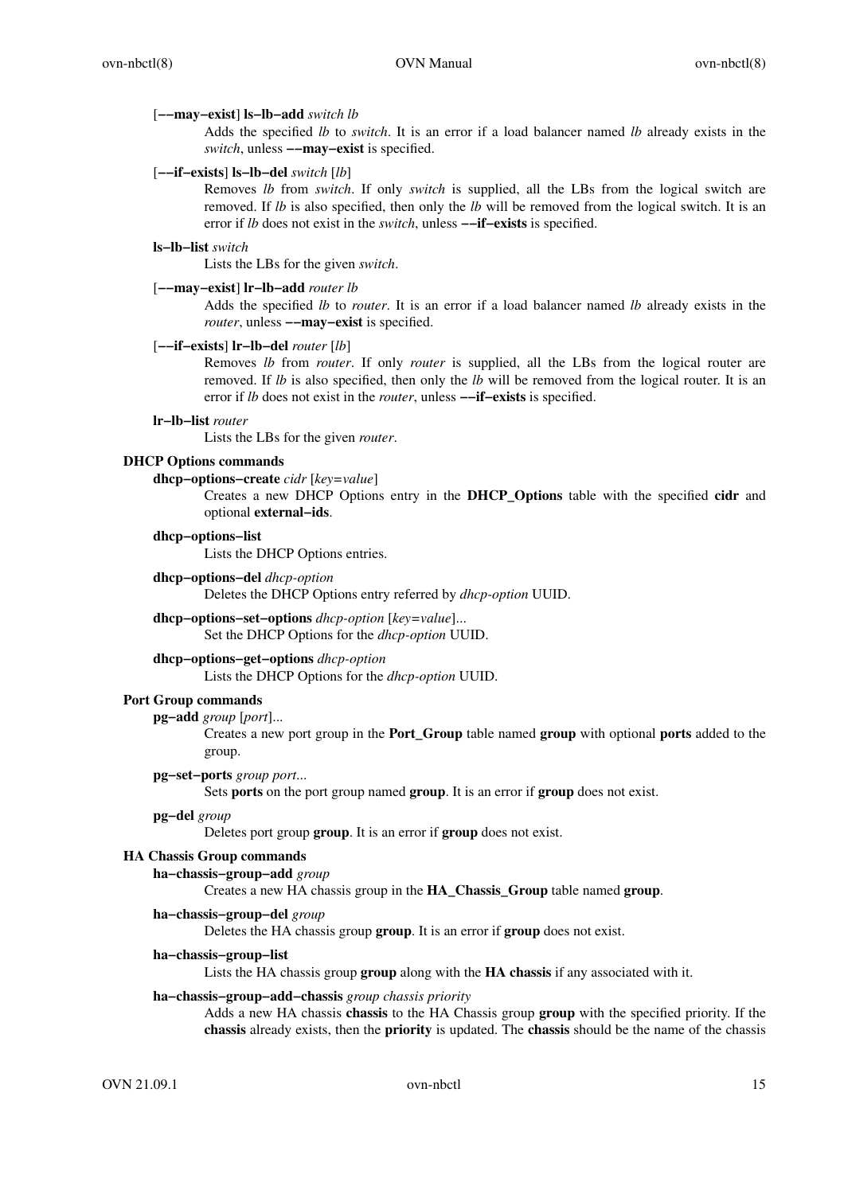#### [**−−may−exist**] **ls−lb−add** *switch lb*

Adds the specified *lb* to *switch*. It is an error if a load balancer named *lb* already exists in the *switch*, unless **−−may−exist** is specified.

### [**−−if−exists**] **ls−lb−del** *switch* [*lb*]

Removes *lb* from *switch*. If only *switch* is supplied, all the LBs from the logical switch are removed. If *lb* is also specified, then only the *lb* will be removed from the logical switch. It is an error if *lb* does not exist in the *switch*, unless **−−if−exists** is specified.

#### **ls−lb−list** *switch*

Lists the LBs for the given *switch*.

# [**−−may−exist**] **lr−lb−add** *router lb*

Adds the specified *lb* to *router*. It is an error if a load balancer named *lb* already exists in the *router*, unless **−−may−exist** is specified.

## [**−−if−exists**] **lr−lb−del** *router* [*lb*]

Removes *lb* from *router*. If only *router* is supplied, all the LBs from the logical router are removed. If *lb* is also specified, then only the *lb* will be removed from the logical router. It is an error if *lb* does not exist in the *router*, unless **−−if−exists** is specified.

#### **lr−lb−list** *router*

Lists the LBs for the given *router*.

# **DHCP Options commands**

**dhcp−options−create** *cidr* [*key=value*]

Creates a new DHCP Options entry in the **DHCP\_Options** table with the specified **cidr** and optional **external−ids**.

#### **dhcp−options−list**

Lists the DHCP Options entries.

**dhcp−options−del** *dhcp-option*

Deletes the DHCP Options entry referred by *dhcp-option* UUID.

**dhcp−options−set−options** *dhcp-option* [*key=value*]... Set the DHCP Options for the *dhcp-option* UUID.

# **dhcp−options−get−options** *dhcp-option*

Lists the DHCP Options for the *dhcp-option* UUID.

## **Port Group commands**

**pg−add** *group* [*port*]...

Creates a new port group in the **Port\_Group** table named **group** with optional **ports** added to the group.

#### **pg−set−ports** *group port*...

Sets **ports** on the port group named **group**. It is an error if **group** does not exist.

#### **pg−del** *group*

Deletes port group **group**. It is an error if **group** does not exist.

# **HA Chassis Group commands**

**ha−chassis−group−add** *group*

Creates a new HA chassis group in the **HA\_Chassis\_Group** table named **group**.

**ha−chassis−group−del** *group*

Deletes the HA chassis group **group**. It is an error if **group** does not exist.

# **ha−chassis−group−list**

Lists the HA chassis group **group** along with the **HA chassis** if any associated with it.

#### **ha−chassis−group−add−chassis** *group chassis priority*

Adds a new HA chassis **chassis** to the HA Chassis group **group** with the specified priority. If the **chassis** already exists, then the **priority** is updated. The **chassis** should be the name of the chassis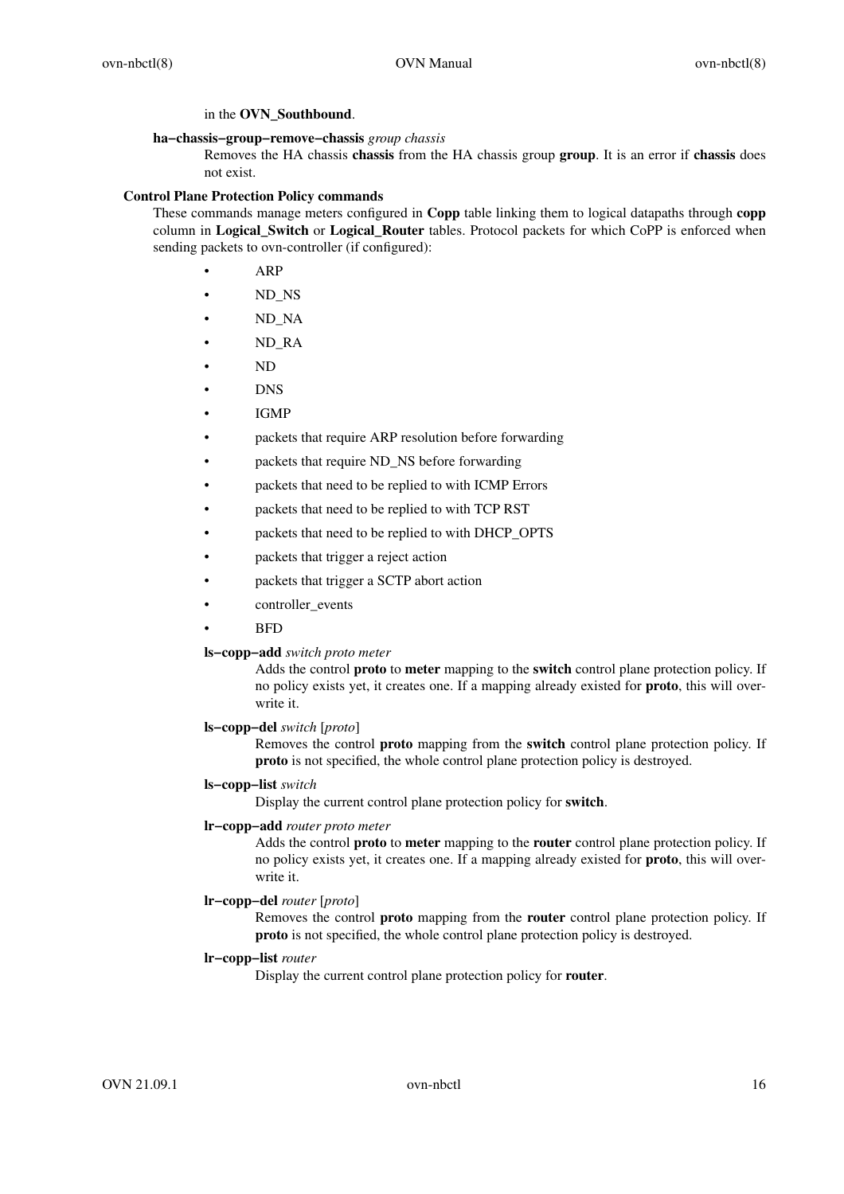in the **OVN\_Southbound**.

# **ha−chassis−group−remove−chassis** *group chassis*

Removes the HA chassis **chassis** from the HA chassis group **group**. It is an error if **chassis** does not exist.

# **Control Plane Protection Policy commands**

These commands manage meters configured in **Copp** table linking them to logical datapaths through **copp** column in **Logical\_Switch** or **Logical\_Router** tables. Protocol packets for which CoPP is enforced when sending packets to ovn-controller (if configured):

- ARP
- ND\_NS
- ND\_NA
- ND\_RA
- ND
- DNS
- IGMP
- packets that require ARP resolution before forwarding
- packets that require ND\_NS before forwarding
- packets that need to be replied to with ICMP Errors
- packets that need to be replied to with TCP RST
- packets that need to be replied to with DHCP\_OPTS
- packets that trigger a reject action
- packets that trigger a SCTP abort action
- controller\_events
- BFD

# **ls−copp−add** *switch proto meter*

Adds the control **proto** to **meter** mapping to the **switch** control plane protection policy. If no policy exists yet, it creates one. If a mapping already existed for **proto**, this will overwrite it.

# **ls−copp−del** *switch* [*proto*]

Removes the control **proto** mapping from the **switch** control plane protection policy. If **proto** is not specified, the whole control plane protection policy is destroyed.

## **ls−copp−list** *switch*

Display the current control plane protection policy for **switch**.

## **lr−copp−add** *router proto meter*

Adds the control **proto** to **meter** mapping to the **router** control plane protection policy. If no policy exists yet, it creates one. If a mapping already existed for **proto**, this will overwrite it.

# **lr−copp−del** *router* [*proto*]

Removes the control **proto** mapping from the **router** control plane protection policy. If **proto** is not specified, the whole control plane protection policy is destroyed.

## **lr−copp−list** *router*

Display the current control plane protection policy for **router**.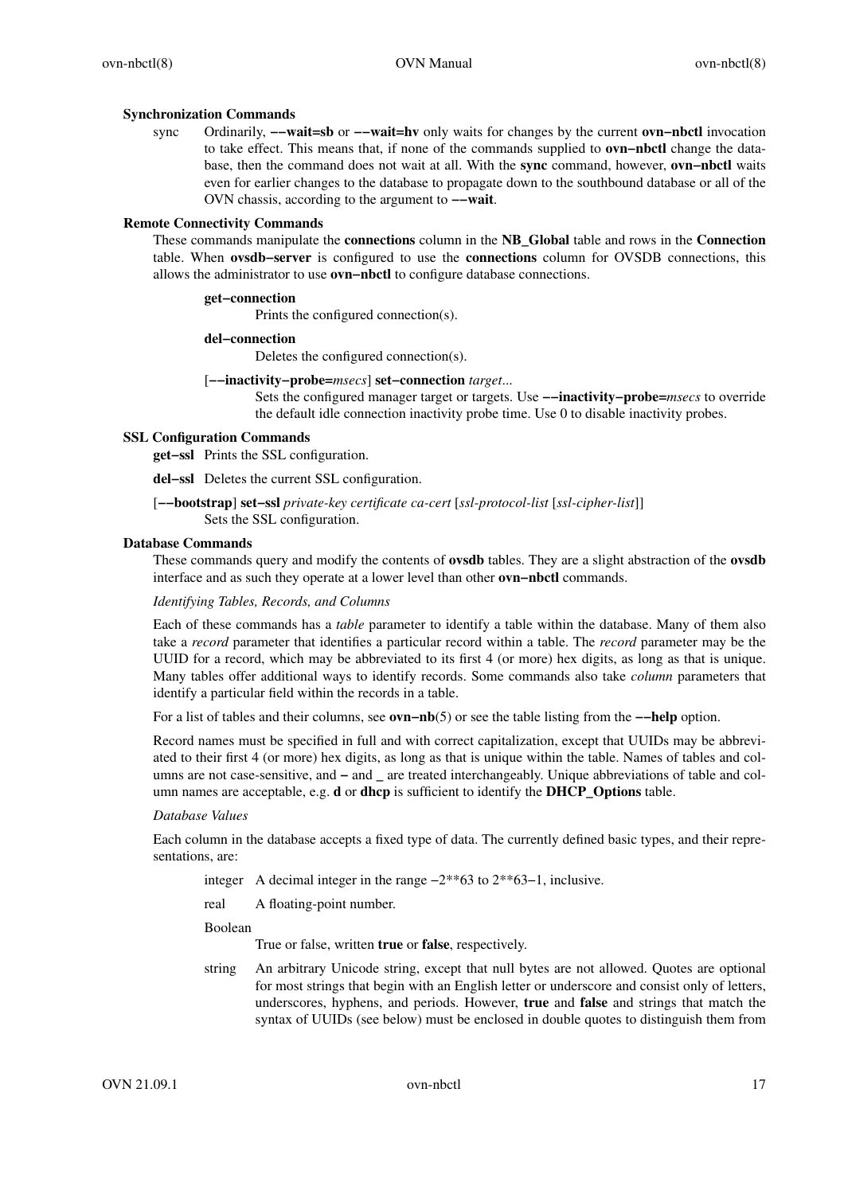# **Synchronization Commands**

sync Ordinarily, **−−wait=sb** or **−−wait=hv** only waits for changes by the current **ovn−nbctl** invocation to take effect. This means that, if none of the commands supplied to **ovn−nbctl** change the database, then the command does not wait at all. With the **sync** command, however, **ovn−nbctl** waits even for earlier changes to the database to propagate down to the southbound database or all of the OVN chassis, according to the argument to **−−wait**.

# **Remote Connectivity Commands**

These commands manipulate the **connections** column in the **NB\_Global** table and rows in the **Connection** table. When **ovsdb−server** is configured to use the **connections** column for OVSDB connections, this allows the administrator to use **ovn−nbctl** to configure database connections.

# **get−connection**

Prints the configured connection(s).

# **del−connection**

Deletes the configured connection(s).

# [**−−inactivity−probe=***msecs*] **set−connection** *target*...

Sets the configured manager target or targets. Use **−−inactivity−probe=***msecs* to override the default idle connection inactivity probe time. Use 0 to disable inactivity probes.

# **SSL Configuration Commands**

**get−ssl** Prints the SSL configuration.

**del−ssl** Deletes the current SSL configuration.

# [**−−bootstrap**] **set−ssl** *private-key certificate ca-cert* [*ssl-protocol-list* [*ssl-cipher-list*]] Sets the SSL configuration.

## **Database Commands**

These commands query and modify the contents of **ovsdb** tables. They are a slight abstraction of the **ovsdb** interface and as such they operate at a lower level than other **ovn−nbctl** commands.

# *Identifying Tables, Records, and Columns*

Each of these commands has a *table* parameter to identify a table within the database. Many of them also take a *record* parameter that identifies a particular record within a table. The *record* parameter may be the UUID for a record, which may be abbreviated to its first 4 (or more) hex digits, as long as that is unique. Many tables offer additional ways to identify records. Some commands also take *column* parameters that identify a particular field within the records in a table.

Foralist of tables and their columns, see **ovn−nb**(5) or see the table listing from the **−−help** option.

Record names must be specified in full and with correct capitalization, except that UUIDs may be abbreviated to their first 4 (or more) hex digits, as long as that is unique within the table. Names of tables and columns are not case-sensitive, and **−** and **\_** are treated interchangeably. Unique abbreviations of table and column names are acceptable, e.g. **d** or **dhcp** is sufficient to identify the **DHCP\_Options** table.

## *Database Values*

Each column in the database accepts a fixed type of data. The currently defined basic types, and their representations, are:

- integer A decimal integer in the range −2\*\*63 to 2\*\*63−1, inclusive.
- real A floating-point number.

Boolean

True or false, written **true** or **false**, respectively.

string An arbitrary Unicode string, except that null bytes are not allowed. Quotes are optional for most strings that begin with an English letter or underscore and consist only of letters, underscores, hyphens, and periods. However, **true** and **false** and strings that match the syntax of UUIDs (see below) must be enclosed in double quotes to distinguish them from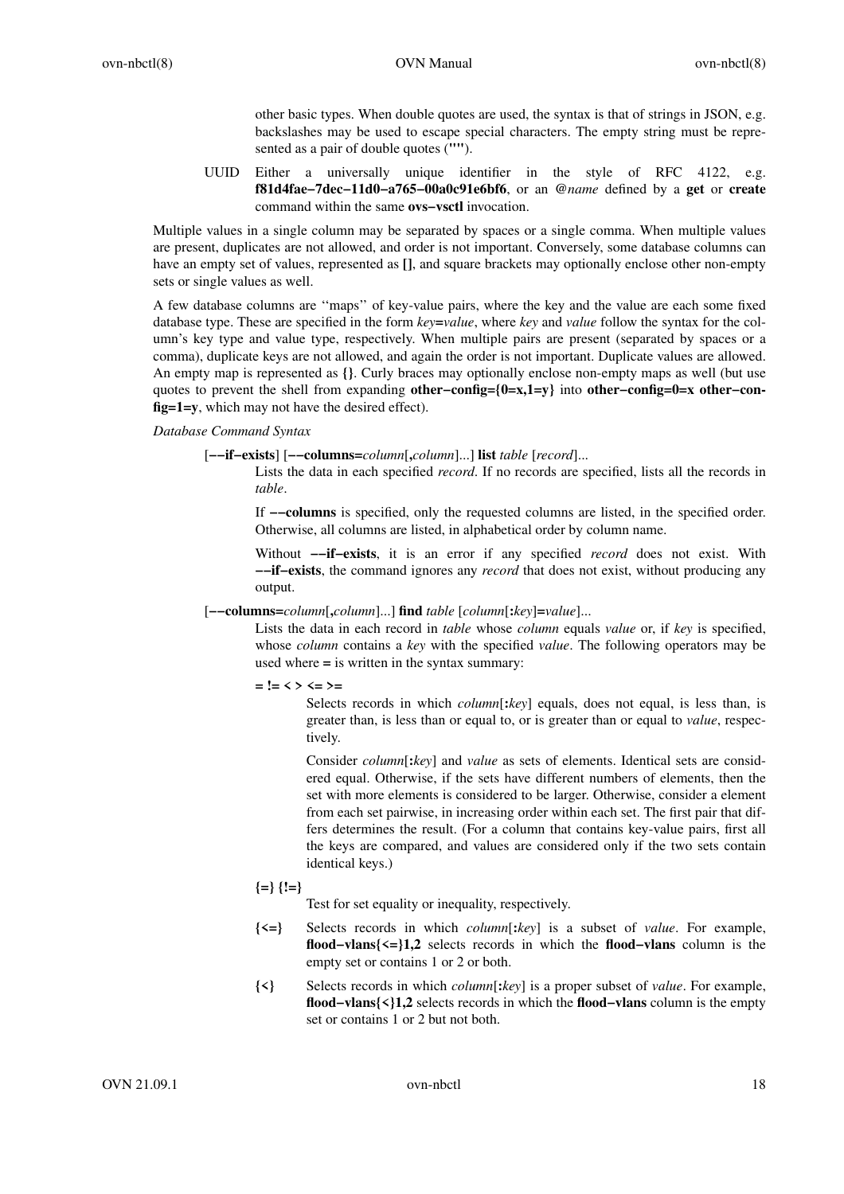other basic types. When double quotes are used, the syntax is that of strings in JSON, e.g. backslashes may be used to escape special characters. The empty string must be represented as a pair of double quotes (**""**).

UUID Either a universally unique identifier in the style of RFC 4122, e.g. **f81d4fae−7dec−11d0−a765−00a0c91e6bf6**, or an **@***name* defined by a **get** or **create** command within the same **ovs−vsctl** invocation.

Multiple values in a single column may be separated by spaces or a single comma. When multiple values are present, duplicates are not allowed, and order is not important. Conversely, some database columns can have an empty set of values, represented as **[]**, and square brackets may optionally enclose other non-empty sets or single values as well.

A few database columns are ''maps'' of key-value pairs, where the key and the value are each some fixed database type. These are specified in the form *key***=***value*, where *key* and *value* follow the syntax for the column's key type and value type, respectively. When multiple pairs are present (separated by spaces or a comma), duplicate keys are not allowed, and again the order is not important. Duplicate values are allowed. An empty map is represented as **{}**. Curly braces may optionally enclose non-empty maps as well (but use quotes to prevent the shell from expanding **other−config={0=x,1=y}** into **other−config=0=x other−config=1=y**, which may not have the desired effect).

# *Database Command Syntax*

[**−−if−exists**] [**−−columns=***column*[**,***column*]...] **list** *table* [*record*]...

Lists the data in each specified *record*. If no records are specified, lists all the records in *table*.

If **−−columns** is specified, only the requested columns are listed, in the specified order. Otherwise, all columns are listed, in alphabetical order by column name.

Without **−−if−exists**, it is an error if any specified *record* does not exist. With **−−if−exists**, the command ignores any *record* that does not exist, without producing any output.

[**−−columns=***column*[**,***column*]...] **find** *table* [*column*[**:***key*]**=***value*]...

Lists the data in each record in *table* whose *column* equals *value* or, if *key* is specified, whose *column* contains a *key* with the specified *value*. The following operators may be used where **=** is written in the syntax summary:

**= != < > <= >=**

Selects records in which *column*[**:***key*] equals, does not equal, is less than, is greater than, is less than or equal to, or is greater than or equal to *value*, respectively.

Consider *column*[**:***key*] and *value* as sets of elements. Identical sets are considered equal. Otherwise, if the sets have different numbers of elements, then the set with more elements is considered to be larger. Otherwise, consider a element from each set pairwise, in increasing order within each set. The first pair that differs determines the result. (For a column that contains key-value pairs, first all the keys are compared, and values are considered only if the two sets contain identical keys.)

**{=} {!=}**

Test for set equality or inequality, respectively.

- **{<=}** Selects records in which *column*[**:***key*] is a subset of *value*. For example, **flood−vlans{<=}1,2** selects records in which the **flood−vlans** column is the empty set or contains 1 or 2 or both.
- **{<}** Selects records in which *column*[**:***key*] is a proper subset of *value*. For example, **flood−vlans{<}1,2** selects records in which the **flood−vlans** column is the empty set or contains 1 or 2 but not both.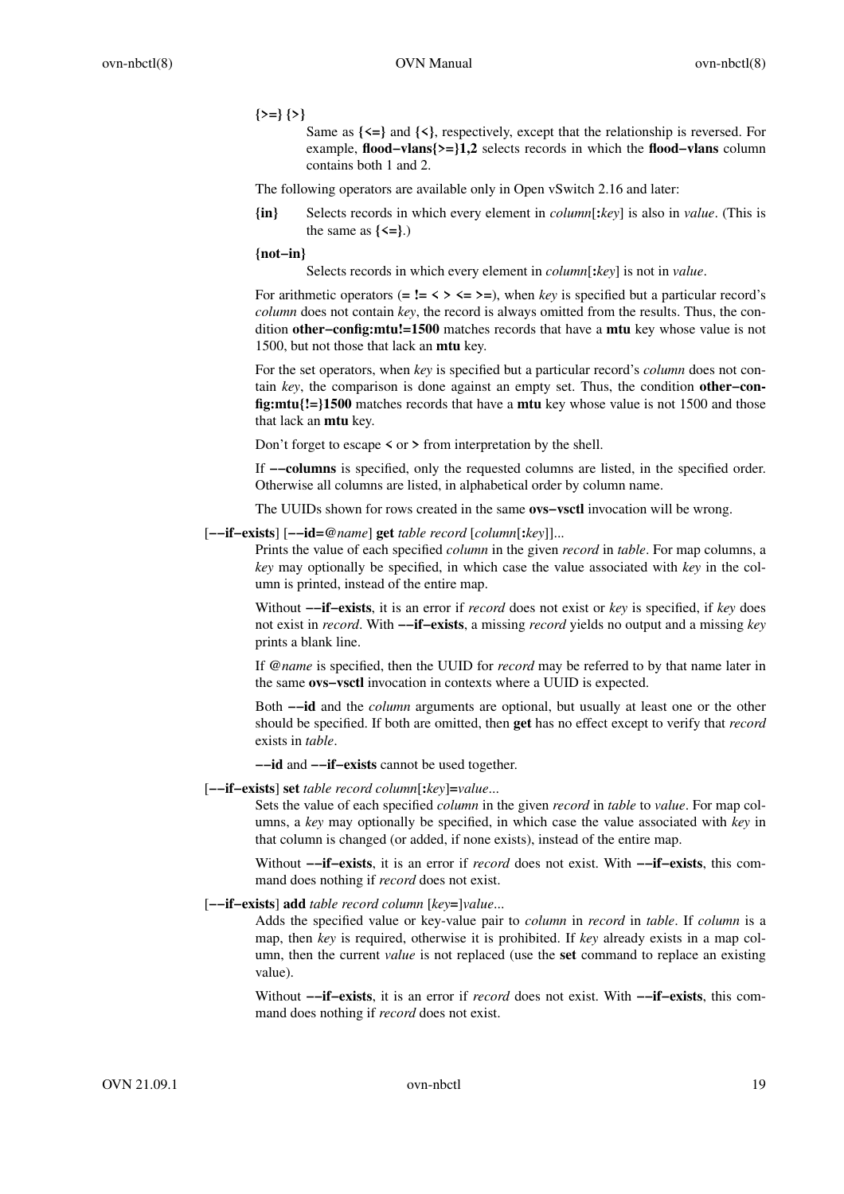# **{>=} {>}**

Same as **{<=}** and **{<}**, respectively, except that the relationship is reversed. For example, **flood−vlans{>=}1,2** selects records in which the **flood−vlans** column contains both 1 and 2.

The following operators are available only in Open vSwitch 2.16 and later:

**{in}** Selects records in which every element in *column*[**:***key*] is also in *value*. (This is the same as  $\{\leq =\}$ .)

**{not−in}**

Selects records in which every element in *column*[**:***key*] is not in *value*.

For arithmetic operators  $(= \mathbf{!=} \langle \rangle \langle \langle \rangle \rangle = \rangle$ , when *key* is specified but a particular record's *column* does not contain *key*, the record is always omitted from the results. Thus, the condition **other−config:mtu!=1500** matches records that have a **mtu** key whose value is not 1500, but not those that lack an **mtu** key.

For the set operators, when *key* is specified but a particular record's *column* does not contain *key*, the comparison is done against an empty set. Thus, the condition **other−config:mtu{!=}1500** matches records that have a **mtu** key whose value is not 1500 and those that lack an **mtu** key.

Don't forget to escape **<** or **>** from interpretation by the shell.

If **−−columns** is specified, only the requested columns are listed, in the specified order. Otherwise all columns are listed, in alphabetical order by column name.

The UUIDs shown for rows created in the same **ovs−vsctl** invocation will be wrong.

## [**−−if−exists**] [**−−id=@***name*] **get** *table record* [*column*[**:***key*]]...

Prints the value of each specified *column* in the given *record* in *table*. For map columns, a *key* may optionally be specified, in which case the value associated with *key* in the column is printed, instead of the entire map.

Without **−−if−exists**, it is an error if *record* does not exist or *key* is specified, if *key* does not exist in *record*. With **−−if−exists**,amissing *record* yields no output and a missing *key* prints a blank line.

If **@***name* is specified, then the UUID for *record* may be referred to by that name later in the same **ovs−vsctl** invocation in contexts where a UUID is expected.

Both **−−id** and the *column* arguments are optional, but usually at least one or the other should be specified. If both are omitted, then **get** has no effect except to verify that *record* exists in *table*.

**−−id** and **−−if−exists** cannot be used together.

#### [**−−if−exists**] **set** *table record column*[**:***key*]**=***value*...

Sets the value of each specified *column* in the given *record* in *table* to *value*. For map columns, a *key* may optionally be specified, in which case the value associated with *key* in that column is changed (or added, if none exists), instead of the entire map.

Without **−−if−exists**, it is an error if *record* does not exist. With **−−if−exists**, this command does nothing if *record* does not exist.

# [**−−if−exists**] **add** *table record column* [*key***=**]*value*...

Adds the specified value or key-value pair to *column* in *record* in *table*. If *column* is a map, then *key* is required, otherwise it is prohibited. If *key* already exists in a map column, then the current *value* is not replaced (use the **set** command to replace an existing value).

Without **−−if−exists**, it is an error if *record* does not exist. With **−−if−exists**, this command does nothing if *record* does not exist.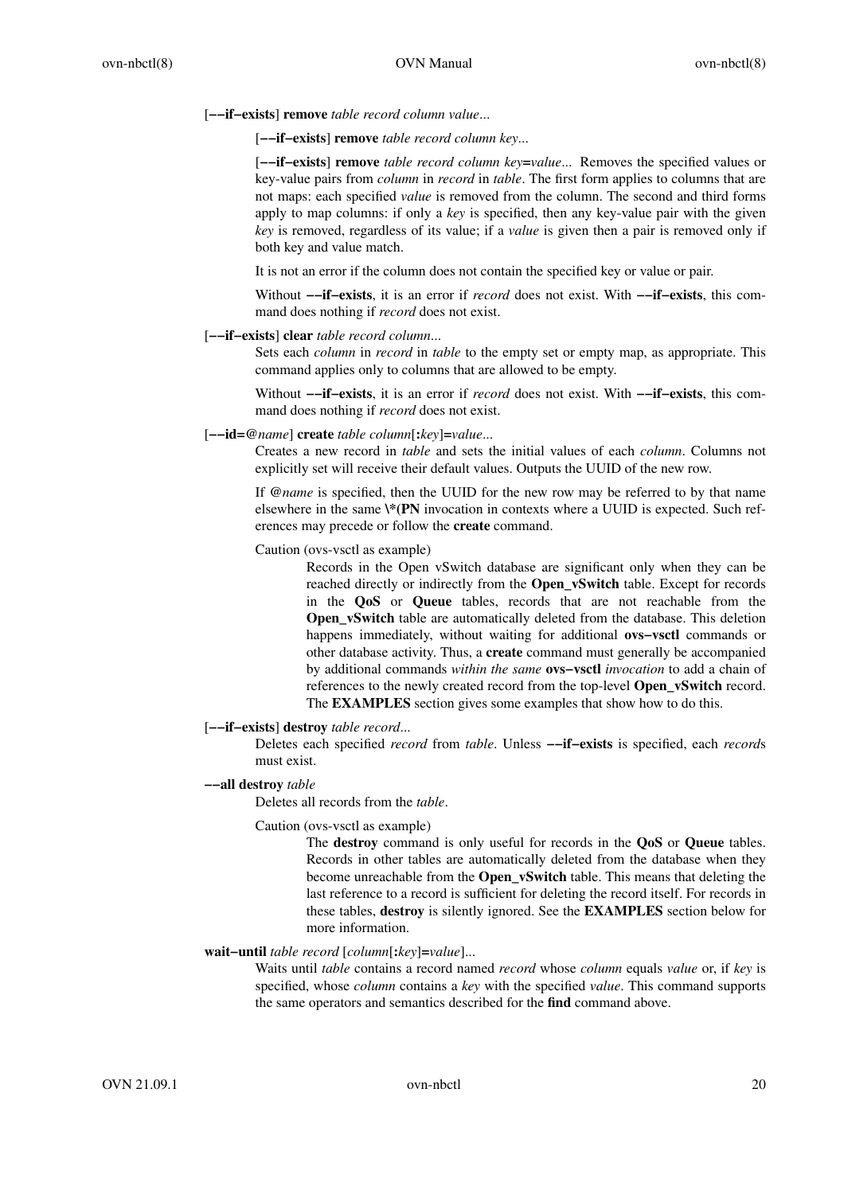[**−−if−exists**] **remove** *table record column value*...

[**−−if−exists**] **remove** *table record column key*...

[**−−if−exists**] **remove** *table record column key***=***value*... Removes the specified values or key-value pairs from *column* in *record* in *table*. The first form applies to columns that are not maps: each specified *value* is removed from the column. The second and third forms apply to map columns: if only a *key* is specified, then any key-value pair with the given *key* is removed, regardless of its value; if a *value* is given then a pair is removed only if both key and value match.

It is not an error if the column does not contain the specified key or value or pair.

Without **−−if−exists**, it is an error if *record* does not exist. With **−−if−exists**, this command does nothing if *record* does not exist.

# [**−−if−exists**] **clear** *table record column*...

Sets each *column* in *record* in *table* to the empty set or empty map, as appropriate. This command applies only to columns that are allowed to be empty.

Without **−−if−exists**, it is an error if *record* does not exist. With **−−if−exists**, this command does nothing if *record* does not exist.

#### [**−−id=@***name*] **create** *table column*[**:***key*]**=***value*...

Creates a new record in *table* and sets the initial values of each *column*. Columns not explicitly set will receive their default values. Outputs the UUID of the new row.

If **@***name* is specified, then the UUID for the new row may be referred to by that name elsewhere in the same **\\*(PN** invocation in contexts where a UUID is expected. Such references may precede or follow the **create** command.

Caution (ovs-vsctl as example)

Records in the Open vSwitch database are significant only when they can be reached directly or indirectly from the **Open\_vSwitch** table. Except for records in the **QoS** or **Queue** tables, records that are not reachable from the **Open\_vSwitch** table are automatically deleted from the database. This deletion happens immediately, without waiting for additional **ovs−vsctl** commands or other database activity. Thus, a **create** command must generally be accompanied by additional commands *within the same* **ovs−vsctl** *invocation* to add a chain of references to the newly created record from the top-level **Open\_vSwitch** record. The **EXAMPLES** section gives some examples that show how to do this.

### [**−−if−exists**] **destroy** *table record*...

Deletes each specified *record* from *table*. Unless **−−if−exists** is specified, each *record*s must exist.

#### **−−all destroy** *table*

Deletes all records from the *table*.

Caution (ovs-vsctl as example)

The **destroy** command is only useful for records in the **QoS** or **Queue** tables. Records in other tables are automatically deleted from the database when they become unreachable from the **Open\_vSwitch** table. This means that deleting the last reference to a record is sufficient for deleting the record itself. For records in these tables, **destroy** is silently ignored. See the **EXAMPLES** section below for more information.

### **wait−until** *table record* [*column*[**:***key*]**=***value*]...

Waits until *table* contains a record named *record* whose *column* equals *value* or, if *key* is specified, whose *column* contains a *key* with the specified *value*. This command supports the same operators and semantics described for the **find** command above.